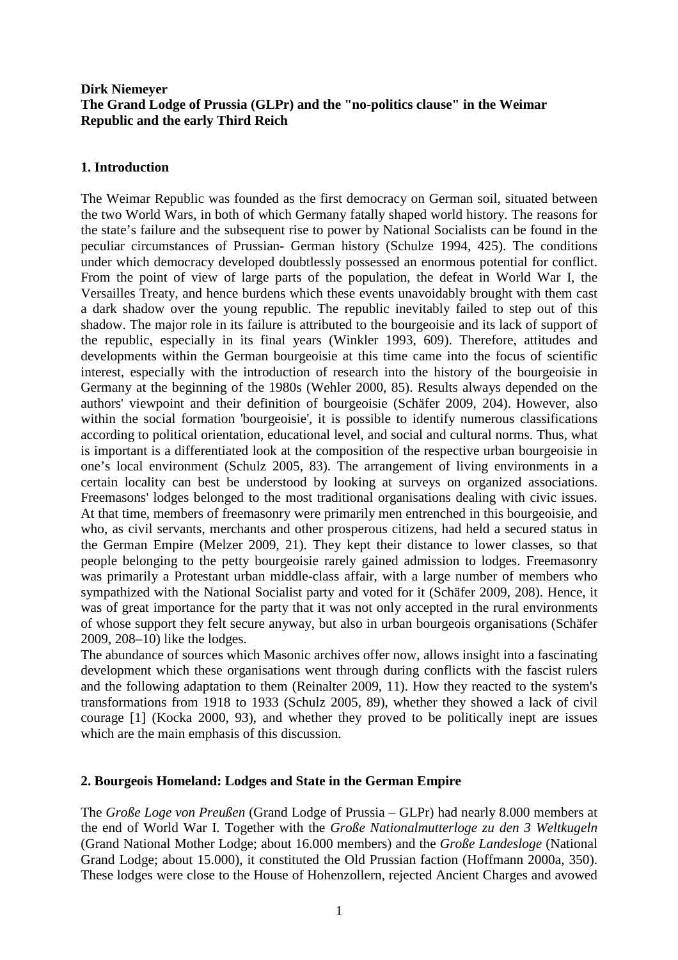# **Dirk Niemeyer The Grand Lodge of Prussia (GLPr) and the "no-politics clause" in the Weimar Republic and the early Third Reich**

# **1. Introduction**

The Weimar Republic was founded as the first democracy on German soil, situated between the two World Wars, in both of which Germany fatally shaped world history. The reasons for the state's failure and the subsequent rise to power by National Socialists can be found in the peculiar circumstances of Prussian- German history (Schulze 1994, 425). The conditions under which democracy developed doubtlessly possessed an enormous potential for conflict. From the point of view of large parts of the population, the defeat in World War I, the Versailles Treaty, and hence burdens which these events unavoidably brought with them cast a dark shadow over the young republic. The republic inevitably failed to step out of this shadow. The major role in its failure is attributed to the bourgeoisie and its lack of support of the republic, especially in its final years (Winkler 1993, 609). Therefore, attitudes and developments within the German bourgeoisie at this time came into the focus of scientific interest, especially with the introduction of research into the history of the bourgeoisie in Germany at the beginning of the 1980s (Wehler 2000, 85). Results always depended on the authors' viewpoint and their definition of bourgeoisie (Schäfer 2009, 204). However, also within the social formation 'bourgeoisie', it is possible to identify numerous classifications according to political orientation, educational level, and social and cultural norms. Thus, what is important is a differentiated look at the composition of the respective urban bourgeoisie in one's local environment (Schulz 2005, 83). The arrangement of living environments in a certain locality can best be understood by looking at surveys on organized associations. Freemasons' lodges belonged to the most traditional organisations dealing with civic issues. At that time, members of freemasonry were primarily men entrenched in this bourgeoisie, and who, as civil servants, merchants and other prosperous citizens, had held a secured status in the German Empire (Melzer 2009, 21). They kept their distance to lower classes, so that people belonging to the petty bourgeoisie rarely gained admission to lodges. Freemasonry was primarily a Protestant urban middle-class affair, with a large number of members who sympathized with the National Socialist party and voted for it (Schäfer 2009, 208). Hence, it was of great importance for the party that it was not only accepted in the rural environments of whose support they felt secure anyway, but also in urban bourgeois organisations (Schäfer 2009, 208–10) like the lodges.

The abundance of sources which Masonic archives offer now, allows insight into a fascinating development which these organisations went through during conflicts with the fascist rulers and the following adaptation to them (Reinalter 2009, 11). How they reacted to the system's transformations from 1918 to 1933 (Schulz 2005, 89), whether they showed a lack of civil courage [1] (Kocka 2000, 93), and whether they proved to be politically inept are issues which are the main emphasis of this discussion.

# **2. Bourgeois Homeland: Lodges and State in the German Empire**

The *Große Loge von Preußen* (Grand Lodge of Prussia – GLPr) had nearly 8.000 members at the end of World War I. Together with the *Große Nationalmutterloge zu den 3 Weltkugeln* (Grand National Mother Lodge; about 16.000 members) and the *Große Landesloge* (National Grand Lodge; about 15.000), it constituted the Old Prussian faction (Hoffmann 2000a, 350). These lodges were close to the House of Hohenzollern, rejected Ancient Charges and avowed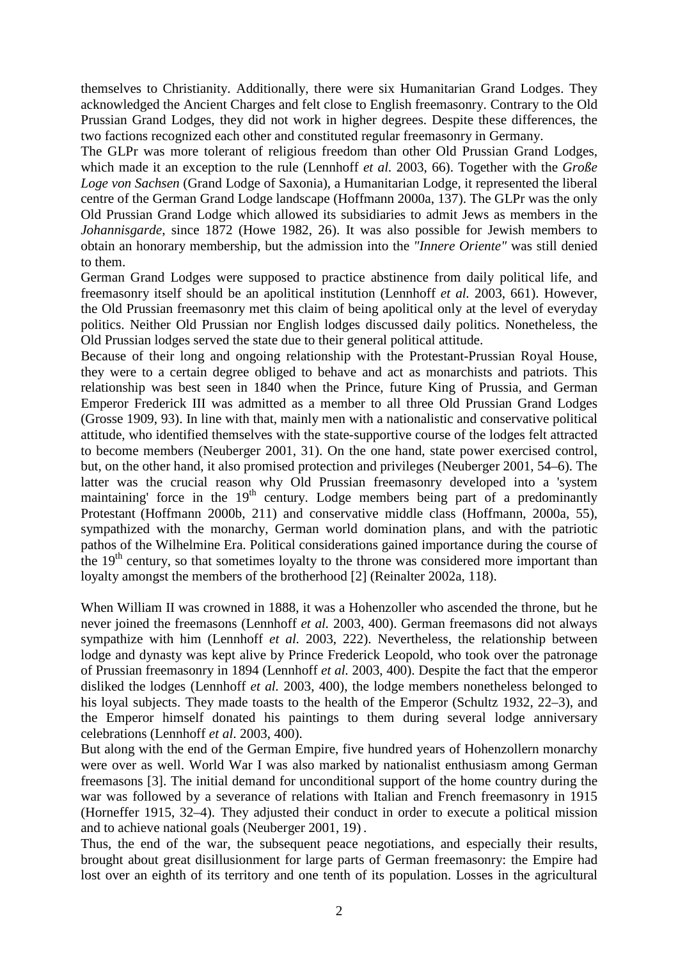themselves to Christianity. Additionally, there were six Humanitarian Grand Lodges. They acknowledged the Ancient Charges and felt close to English freemasonry. Contrary to the Old Prussian Grand Lodges, they did not work in higher degrees. Despite these differences, the two factions recognized each other and constituted regular freemasonry in Germany.

The GLPr was more tolerant of religious freedom than other Old Prussian Grand Lodges, which made it an exception to the rule (Lennhoff *et al.* 2003, 66). Together with the *Große Loge von Sachsen* (Grand Lodge of Saxonia), a Humanitarian Lodge, it represented the liberal centre of the German Grand Lodge landscape (Hoffmann 2000a, 137). The GLPr was the only Old Prussian Grand Lodge which allowed its subsidiaries to admit Jews as members in the *Johannisgarde*, since 1872 (Howe 1982, 26). It was also possible for Jewish members to obtain an honorary membership, but the admission into the *"Innere Oriente"* was still denied to them.

German Grand Lodges were supposed to practice abstinence from daily political life, and freemasonry itself should be an apolitical institution (Lennhoff *et al.* 2003, 661). However, the Old Prussian freemasonry met this claim of being apolitical only at the level of everyday politics. Neither Old Prussian nor English lodges discussed daily politics. Nonetheless, the Old Prussian lodges served the state due to their general political attitude.

Because of their long and ongoing relationship with the Protestant-Prussian Royal House, they were to a certain degree obliged to behave and act as monarchists and patriots. This relationship was best seen in 1840 when the Prince, future King of Prussia, and German Emperor Frederick III was admitted as a member to all three Old Prussian Grand Lodges (Grosse 1909, 93). In line with that, mainly men with a nationalistic and conservative political attitude, who identified themselves with the state-supportive course of the lodges felt attracted to become members (Neuberger 2001, 31). On the one hand, state power exercised control, but, on the other hand, it also promised protection and privileges (Neuberger 2001, 54–6). The latter was the crucial reason why Old Prussian freemasonry developed into a 'system maintaining' force in the 19<sup>th</sup> century. Lodge members being part of a predominantly Protestant (Hoffmann 2000b, 211) and conservative middle class (Hoffmann, 2000a, 55), sympathized with the monarchy, German world domination plans, and with the patriotic pathos of the Wilhelmine Era. Political considerations gained importance during the course of the 19<sup>th</sup> century, so that sometimes loyalty to the throne was considered more important than loyalty amongst the members of the brotherhood [2] (Reinalter 2002a, 118).

When William II was crowned in 1888, it was a Hohenzoller who ascended the throne, but he never joined the freemasons (Lennhoff *et al.* 2003, 400). German freemasons did not always sympathize with him (Lennhoff *et al.* 2003, 222). Nevertheless, the relationship between lodge and dynasty was kept alive by Prince Frederick Leopold, who took over the patronage of Prussian freemasonry in 1894 (Lennhoff *et al.* 2003, 400). Despite the fact that the emperor disliked the lodges (Lennhoff *et al.* 2003, 400), the lodge members nonetheless belonged to his loyal subjects. They made toasts to the health of the Emperor (Schultz 1932, 22–3), and the Emperor himself donated his paintings to them during several lodge anniversary celebrations (Lennhoff *et al*. 2003, 400).

But along with the end of the German Empire, five hundred years of Hohenzollern monarchy were over as well. World War I was also marked by nationalist enthusiasm among German freemasons [3]. The initial demand for unconditional support of the home country during the war was followed by a severance of relations with Italian and French freemasonry in 1915 (Horneffer 1915, 32–4). They adjusted their conduct in order to execute a political mission and to achieve national goals (Neuberger 2001, 19) .

Thus, the end of the war, the subsequent peace negotiations, and especially their results, brought about great disillusionment for large parts of German freemasonry: the Empire had lost over an eighth of its territory and one tenth of its population. Losses in the agricultural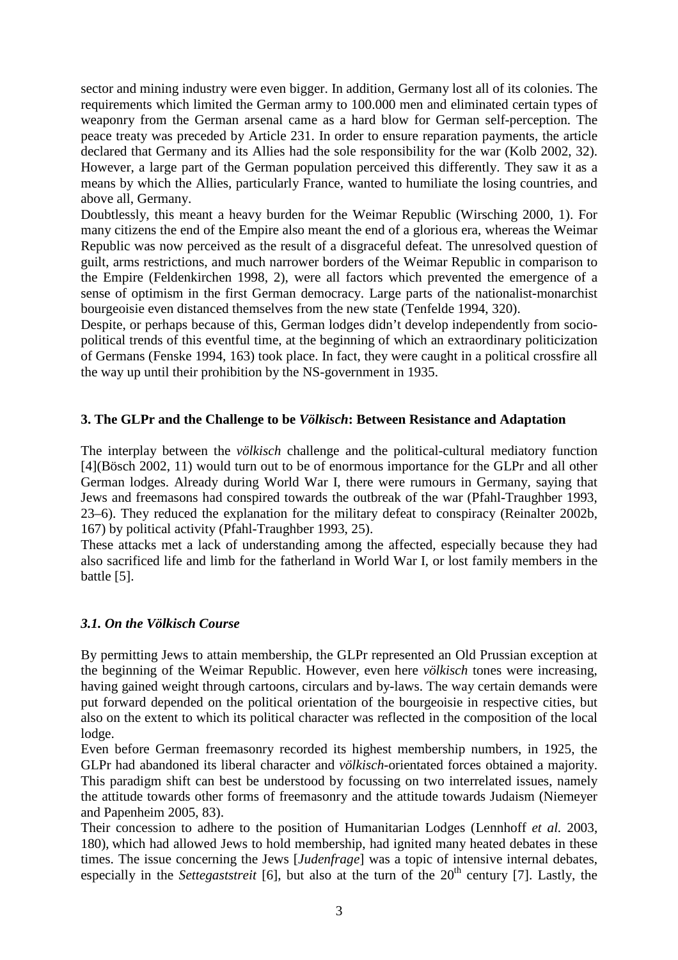sector and mining industry were even bigger. In addition, Germany lost all of its colonies. The requirements which limited the German army to 100.000 men and eliminated certain types of weaponry from the German arsenal came as a hard blow for German self-perception. The peace treaty was preceded by Article 231. In order to ensure reparation payments, the article declared that Germany and its Allies had the sole responsibility for the war (Kolb 2002, 32). However, a large part of the German population perceived this differently. They saw it as a means by which the Allies, particularly France, wanted to humiliate the losing countries, and above all, Germany.

Doubtlessly, this meant a heavy burden for the Weimar Republic (Wirsching 2000, 1). For many citizens the end of the Empire also meant the end of a glorious era, whereas the Weimar Republic was now perceived as the result of a disgraceful defeat. The unresolved question of guilt, arms restrictions, and much narrower borders of the Weimar Republic in comparison to the Empire (Feldenkirchen 1998, 2), were all factors which prevented the emergence of a sense of optimism in the first German democracy. Large parts of the nationalist-monarchist bourgeoisie even distanced themselves from the new state (Tenfelde 1994, 320).

Despite, or perhaps because of this, German lodges didn't develop independently from sociopolitical trends of this eventful time, at the beginning of which an extraordinary politicization of Germans (Fenske 1994, 163) took place. In fact, they were caught in a political crossfire all the way up until their prohibition by the NS-government in 1935.

## **3. The GLPr and the Challenge to be** *Völkisch***: Between Resistance and Adaptation**

The interplay between the *völkisch* challenge and the political-cultural mediatory function [4](Bösch 2002, 11) would turn out to be of enormous importance for the GLPr and all other German lodges. Already during World War I, there were rumours in Germany, saying that Jews and freemasons had conspired towards the outbreak of the war (Pfahl-Traughber 1993, 23–6). They reduced the explanation for the military defeat to conspiracy (Reinalter 2002b, 167) by political activity (Pfahl-Traughber 1993, 25).

These attacks met a lack of understanding among the affected, especially because they had also sacrificed life and limb for the fatherland in World War I, or lost family members in the battle [5].

# *3.1. On the Völkisch Course*

By permitting Jews to attain membership, the GLPr represented an Old Prussian exception at the beginning of the Weimar Republic. However, even here *völkisch* tones were increasing, having gained weight through cartoons, circulars and by-laws. The way certain demands were put forward depended on the political orientation of the bourgeoisie in respective cities, but also on the extent to which its political character was reflected in the composition of the local lodge.

Even before German freemasonry recorded its highest membership numbers, in 1925, the GLPr had abandoned its liberal character and *völkisch*-orientated forces obtained a majority. This paradigm shift can best be understood by focussing on two interrelated issues, namely the attitude towards other forms of freemasonry and the attitude towards Judaism (Niemeyer and Papenheim 2005, 83).

Their concession to adhere to the position of Humanitarian Lodges (Lennhoff *et al.* 2003, 180), which had allowed Jews to hold membership, had ignited many heated debates in these times. The issue concerning the Jews [*Judenfrage*] was a topic of intensive internal debates, especially in the *Settegaststreit* [6], but also at the turn of the 20<sup>th</sup> century [7]. Lastly, the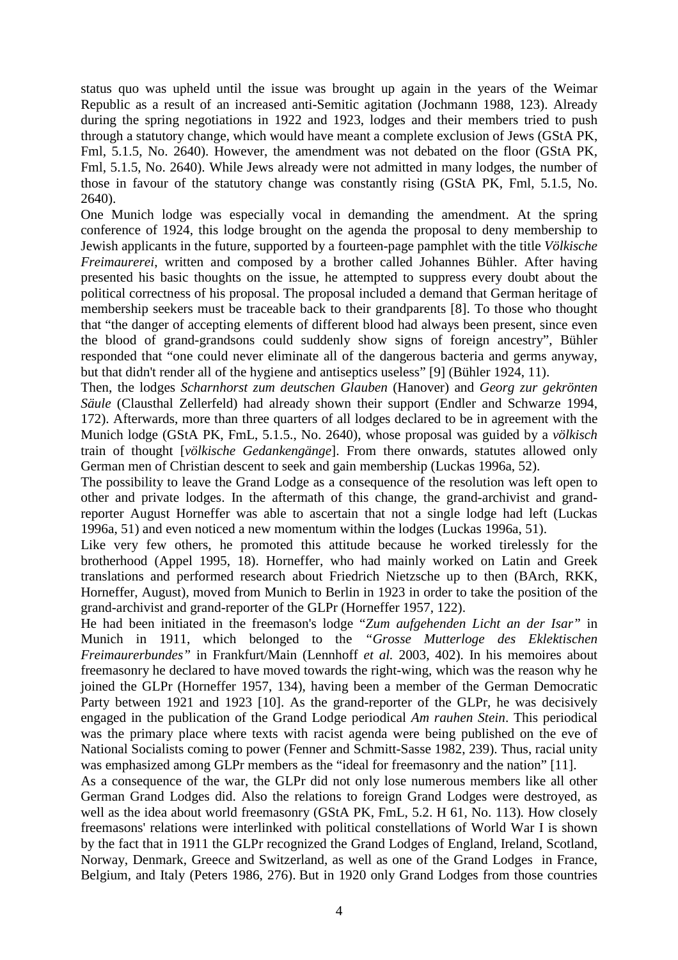status quo was upheld until the issue was brought up again in the years of the Weimar Republic as a result of an increased anti-Semitic agitation (Jochmann 1988, 123). Already during the spring negotiations in 1922 and 1923, lodges and their members tried to push through a statutory change, which would have meant a complete exclusion of Jews (GStA PK, Fml, 5.1.5, No. 2640). However, the amendment was not debated on the floor (GStA PK, Fml, 5.1.5, No. 2640). While Jews already were not admitted in many lodges, the number of those in favour of the statutory change was constantly rising (GStA PK, Fml, 5.1.5, No. 2640).

One Munich lodge was especially vocal in demanding the amendment. At the spring conference of 1924, this lodge brought on the agenda the proposal to deny membership to Jewish applicants in the future, supported by a fourteen-page pamphlet with the title *Völkische Freimaurerei*, written and composed by a brother called Johannes Bühler. After having presented his basic thoughts on the issue, he attempted to suppress every doubt about the political correctness of his proposal. The proposal included a demand that German heritage of membership seekers must be traceable back to their grandparents [8]. To those who thought that "the danger of accepting elements of different blood had always been present, since even the blood of grand-grandsons could suddenly show signs of foreign ancestry", Bühler responded that "one could never eliminate all of the dangerous bacteria and germs anyway, but that didn't render all of the hygiene and antiseptics useless" [9] (Bühler 1924, 11).

Then, the lodges *Scharnhorst zum deutschen Glauben* (Hanover) and *Georg zur gekrönten Säule* (Clausthal Zellerfeld) had already shown their support (Endler and Schwarze 1994, 172). Afterwards, more than three quarters of all lodges declared to be in agreement with the Munich lodge (GStA PK, FmL, 5.1.5., No. 2640), whose proposal was guided by a *völkisch* train of thought [*völkische Gedankengänge*]. From there onwards, statutes allowed only German men of Christian descent to seek and gain membership (Luckas 1996a, 52).

The possibility to leave the Grand Lodge as a consequence of the resolution was left open to other and private lodges. In the aftermath of this change, the grand-archivist and grandreporter August Horneffer was able to ascertain that not a single lodge had left (Luckas 1996a, 51) and even noticed a new momentum within the lodges (Luckas 1996a, 51).

Like very few others, he promoted this attitude because he worked tirelessly for the brotherhood (Appel 1995, 18). Horneffer, who had mainly worked on Latin and Greek translations and performed research about Friedrich Nietzsche up to then (BArch, RKK, Horneffer, August), moved from Munich to Berlin in 1923 in order to take the position of the grand-archivist and grand-reporter of the GLPr (Horneffer 1957, 122).

He had been initiated in the freemason's lodge "*Zum aufgehenden Licht an der Isar"* in Munich in 1911, which belonged to the *"Grosse Mutterloge des Eklektischen Freimaurerbundes"* in Frankfurt/Main (Lennhoff *et al.* 2003*,* 402). In his memoires about freemasonry he declared to have moved towards the right-wing, which was the reason why he joined the GLPr (Horneffer 1957, 134), having been a member of the German Democratic Party between 1921 and 1923 [10]. As the grand-reporter of the GLPr, he was decisively engaged in the publication of the Grand Lodge periodical *Am rauhen Stein*. This periodical was the primary place where texts with racist agenda were being published on the eve of National Socialists coming to power (Fenner and Schmitt-Sasse 1982, 239). Thus, racial unity was emphasized among GLPr members as the "ideal for freemasonry and the nation" [11].

As a consequence of the war, the GLPr did not only lose numerous members like all other German Grand Lodges did. Also the relations to foreign Grand Lodges were destroyed, as well as the idea about world freemasonry (GStA PK, FmL, 5.2. H 61, No. 113)*.* How closely freemasons' relations were interlinked with political constellations of World War I is shown by the fact that in 1911 the GLPr recognized the Grand Lodges of England, Ireland, Scotland, Norway, Denmark, Greece and Switzerland, as well as one of the Grand Lodges in France, Belgium, and Italy (Peters 1986, 276). But in 1920 only Grand Lodges from those countries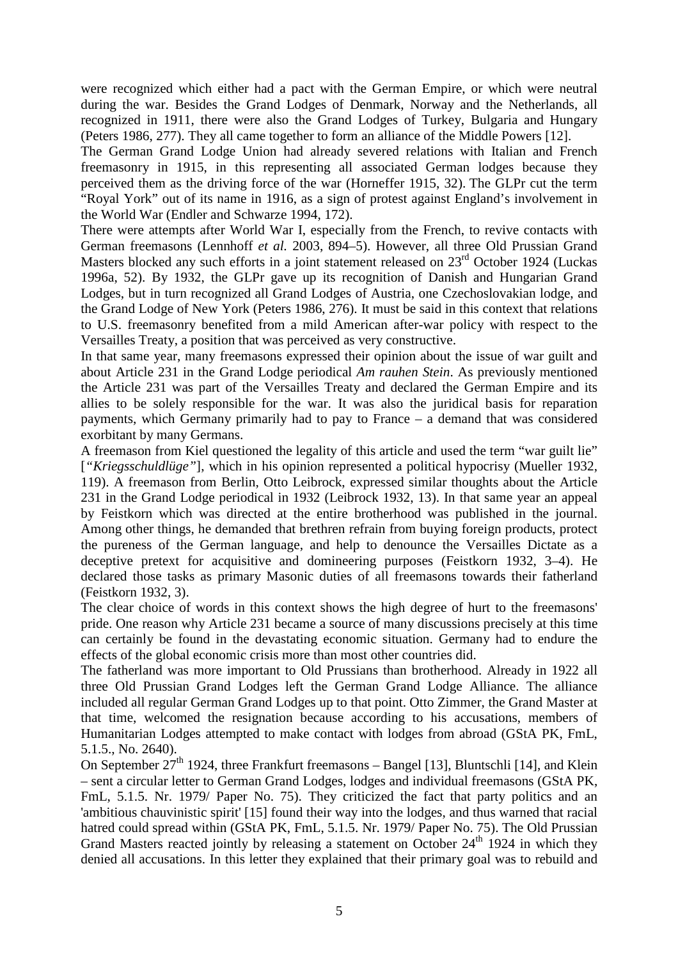were recognized which either had a pact with the German Empire, or which were neutral during the war. Besides the Grand Lodges of Denmark, Norway and the Netherlands, all recognized in 1911, there were also the Grand Lodges of Turkey, Bulgaria and Hungary (Peters 1986, 277). They all came together to form an alliance of the Middle Powers [12].

The German Grand Lodge Union had already severed relations with Italian and French freemasonry in 1915, in this representing all associated German lodges because they perceived them as the driving force of the war (Horneffer 1915, 32). The GLPr cut the term "Royal York" out of its name in 1916, as a sign of protest against England's involvement in the World War (Endler and Schwarze 1994, 172).

There were attempts after World War I, especially from the French, to revive contacts with German freemasons (Lennhoff *et al.* 2003, 894–5). However, all three Old Prussian Grand Masters blocked any such efforts in a joint statement released on 23<sup>rd</sup> October 1924 (Luckas 1996a, 52). By 1932, the GLPr gave up its recognition of Danish and Hungarian Grand Lodges, but in turn recognized all Grand Lodges of Austria, one Czechoslovakian lodge, and the Grand Lodge of New York (Peters 1986, 276). It must be said in this context that relations to U.S. freemasonry benefited from a mild American after-war policy with respect to the Versailles Treaty, a position that was perceived as very constructive.

In that same year, many freemasons expressed their opinion about the issue of war guilt and about Article 231 in the Grand Lodge periodical *Am rauhen Stein*. As previously mentioned the Article 231 was part of the Versailles Treaty and declared the German Empire and its allies to be solely responsible for the war. It was also the juridical basis for reparation payments, which Germany primarily had to pay to France – a demand that was considered exorbitant by many Germans.

A freemason from Kiel questioned the legality of this article and used the term "war guilt lie" [*"Kriegsschuldlüge"*], which in his opinion represented a political hypocrisy (Mueller 1932, 119). A freemason from Berlin, Otto Leibrock, expressed similar thoughts about the Article 231 in the Grand Lodge periodical in 1932 (Leibrock 1932, 13). In that same year an appeal by Feistkorn which was directed at the entire brotherhood was published in the journal. Among other things, he demanded that brethren refrain from buying foreign products, protect the pureness of the German language, and help to denounce the Versailles Dictate as a deceptive pretext for acquisitive and domineering purposes (Feistkorn 1932, 3–4). He declared those tasks as primary Masonic duties of all freemasons towards their fatherland (Feistkorn 1932, 3).

The clear choice of words in this context shows the high degree of hurt to the freemasons' pride. One reason why Article 231 became a source of many discussions precisely at this time can certainly be found in the devastating economic situation. Germany had to endure the effects of the global economic crisis more than most other countries did.

The fatherland was more important to Old Prussians than brotherhood. Already in 1922 all three Old Prussian Grand Lodges left the German Grand Lodge Alliance. The alliance included all regular German Grand Lodges up to that point. Otto Zimmer, the Grand Master at that time, welcomed the resignation because according to his accusations, members of Humanitarian Lodges attempted to make contact with lodges from abroad (GStA PK, FmL, 5.1.5., No. 2640).

On September  $27<sup>th</sup>$  1924, three Frankfurt freemasons – Bangel [13], Bluntschli [14], and Klein – sent a circular letter to German Grand Lodges, lodges and individual freemasons (GStA PK, FmL, 5.1.5. Nr. 1979/ Paper No. 75). They criticized the fact that party politics and an 'ambitious chauvinistic spirit' [15] found their way into the lodges, and thus warned that racial hatred could spread within (GStA PK, FmL, 5.1.5. Nr. 1979/ Paper No. 75). The Old Prussian Grand Masters reacted jointly by releasing a statement on October  $24<sup>th</sup>$  1924 in which they denied all accusations. In this letter they explained that their primary goal was to rebuild and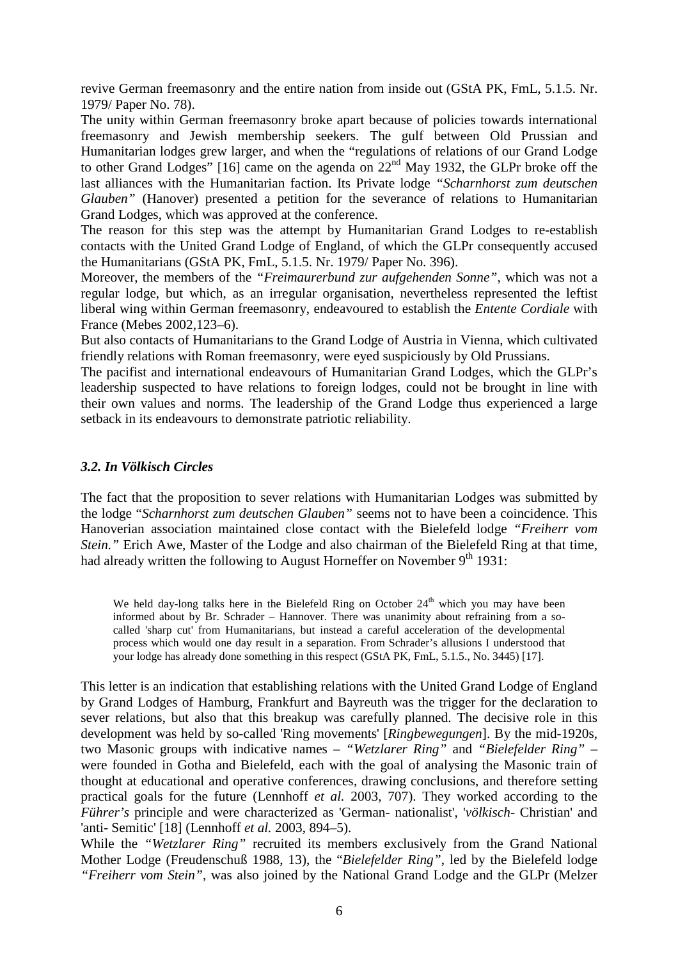revive German freemasonry and the entire nation from inside out (GStA PK, FmL, 5.1.5. Nr. 1979/ Paper No. 78).

The unity within German freemasonry broke apart because of policies towards international freemasonry and Jewish membership seekers. The gulf between Old Prussian and Humanitarian lodges grew larger, and when the "regulations of relations of our Grand Lodge to other Grand Lodges" [16] came on the agenda on  $22<sup>nd</sup>$  May 1932, the GLPr broke off the last alliances with the Humanitarian faction. Its Private lodge *"Scharnhorst zum deutschen Glauben"* (Hanover) presented a petition for the severance of relations to Humanitarian Grand Lodges, which was approved at the conference.

The reason for this step was the attempt by Humanitarian Grand Lodges to re-establish contacts with the United Grand Lodge of England, of which the GLPr consequently accused the Humanitarians (GStA PK, FmL, 5.1.5. Nr. 1979/ Paper No. 396).

Moreover, the members of the *"Freimaurerbund zur aufgehenden Sonne"*, which was not a regular lodge, but which, as an irregular organisation, nevertheless represented the leftist liberal wing within German freemasonry, endeavoured to establish the *Entente Cordiale* with France (Mebes 2002,123–6).

But also contacts of Humanitarians to the Grand Lodge of Austria in Vienna, which cultivated friendly relations with Roman freemasonry, were eyed suspiciously by Old Prussians.

The pacifist and international endeavours of Humanitarian Grand Lodges, which the GLPr's leadership suspected to have relations to foreign lodges, could not be brought in line with their own values and norms. The leadership of the Grand Lodge thus experienced a large setback in its endeavours to demonstrate patriotic reliability.

## *3.2. In Völkisch Circles*

The fact that the proposition to sever relations with Humanitarian Lodges was submitted by the lodge "*Scharnhorst zum deutschen Glauben"* seems not to have been a coincidence. This Hanoverian association maintained close contact with the Bielefeld lodge *"Freiherr vom Stein.*" Erich Awe, Master of the Lodge and also chairman of the Bielefeld Ring at that time, had already written the following to August Horneffer on November  $9<sup>th</sup> 1931$ :

We held day-long talks here in the Bielefeld Ring on October  $24<sup>th</sup>$  which you may have been informed about by Br. Schrader – Hannover. There was unanimity about refraining from a socalled 'sharp cut' from Humanitarians, but instead a careful acceleration of the developmental process which would one day result in a separation. From Schrader's allusions I understood that your lodge has already done something in this respect (GStA PK, FmL, 5.1.5., No. 3445) [17].

This letter is an indication that establishing relations with the United Grand Lodge of England by Grand Lodges of Hamburg, Frankfurt and Bayreuth was the trigger for the declaration to sever relations, but also that this breakup was carefully planned. The decisive role in this development was held by so-called 'Ring movements' [*Ringbewegungen*]. By the mid-1920s, two Masonic groups with indicative names – *"Wetzlarer Ring"* and *"Bielefelder Ring"* – were founded in Gotha and Bielefeld, each with the goal of analysing the Masonic train of thought at educational and operative conferences, drawing conclusions, and therefore setting practical goals for the future (Lennhoff *et al.* 2003, 707). They worked according to the *Führer's* principle and were characterized as 'German- nationalist', '*völkisch*- Christian' and 'anti- Semitic' [18] (Lennhoff *et al.* 2003, 894–5).

While the *"Wetzlarer Ring"* recruited its members exclusively from the Grand National Mother Lodge (Freudenschuß 1988, 13), the "*Bielefelder Ring"*, led by the Bielefeld lodge *"Freiherr vom Stein"*, was also joined by the National Grand Lodge and the GLPr (Melzer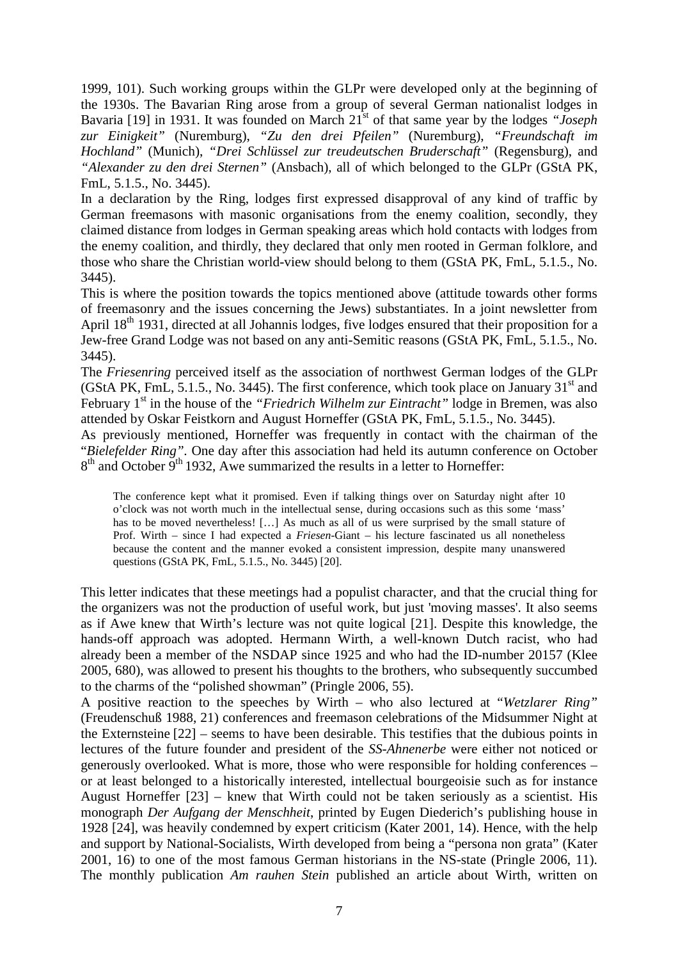1999, 101). Such working groups within the GLPr were developed only at the beginning of the 1930s. The Bavarian Ring arose from a group of several German nationalist lodges in Bavaria [19] in 1931. It was founded on March 21<sup>st</sup> of that same year by the lodges *"Joseph zur Einigkeit"* (Nuremburg), *"Zu den drei Pfeilen"* (Nuremburg), *"Freundschaft im Hochland"* (Munich), *"Drei Schlüssel zur treudeutschen Bruderschaft"* (Regensburg), and *"Alexander zu den drei Sternen"* (Ansbach), all of which belonged to the GLPr (GStA PK, FmL, 5.1.5., No. 3445).

In a declaration by the Ring, lodges first expressed disapproval of any kind of traffic by German freemasons with masonic organisations from the enemy coalition, secondly, they claimed distance from lodges in German speaking areas which hold contacts with lodges from the enemy coalition, and thirdly, they declared that only men rooted in German folklore, and those who share the Christian world-view should belong to them (GStA PK, FmL, 5.1.5., No. 3445).

This is where the position towards the topics mentioned above (attitude towards other forms of freemasonry and the issues concerning the Jews) substantiates. In a joint newsletter from April 18<sup>th</sup> 1931, directed at all Johannis lodges, five lodges ensured that their proposition for a Jew-free Grand Lodge was not based on any anti-Semitic reasons (GStA PK, FmL, 5.1.5., No. 3445).

The *Friesenring* perceived itself as the association of northwest German lodges of the GLPr (GStA PK, FmL, 5.1.5., No. 3445). The first conference, which took place on January  $31<sup>st</sup>$  and February 1<sup>st</sup> in the house of the *"Friedrich Wilhelm zur Eintracht"* lodge in Bremen, was also attended by Oskar Feistkorn and August Horneffer (GStA PK, FmL, 5.1.5., No. 3445).

As previously mentioned, Horneffer was frequently in contact with the chairman of the "*Bielefelder Ring".* One day after this association had held its autumn conference on October  $8<sup>th</sup>$  and October  $9<sup>th</sup>$  1932, Awe summarized the results in a letter to Horneffer:

The conference kept what it promised. Even if talking things over on Saturday night after 10 o'clock was not worth much in the intellectual sense, during occasions such as this some 'mass' has to be moved nevertheless! [...] As much as all of us were surprised by the small stature of Prof. Wirth – since I had expected a *Friesen*-Giant – his lecture fascinated us all nonetheless because the content and the manner evoked a consistent impression, despite many unanswered questions (GStA PK, FmL, 5.1.5., No. 3445) [20].

This letter indicates that these meetings had a populist character, and that the crucial thing for the organizers was not the production of useful work, but just 'moving masses'. It also seems as if Awe knew that Wirth's lecture was not quite logical [21]. Despite this knowledge, the hands-off approach was adopted. Hermann Wirth, a well-known Dutch racist, who had already been a member of the NSDAP since 1925 and who had the ID-number 20157 (Klee 2005, 680), was allowed to present his thoughts to the brothers, who subsequently succumbed to the charms of the "polished showman" (Pringle 2006, 55).

A positive reaction to the speeches by Wirth – who also lectured at "*Wetzlarer Ring"* (Freudenschuß 1988, 21) conferences and freemason celebrations of the Midsummer Night at the Externsteine [22] – seems to have been desirable. This testifies that the dubious points in lectures of the future founder and president of the *SS-Ahnenerbe* were either not noticed or generously overlooked. What is more, those who were responsible for holding conferences – or at least belonged to a historically interested, intellectual bourgeoisie such as for instance August Horneffer [23] – knew that Wirth could not be taken seriously as a scientist. His monograph *Der Aufgang der Menschheit*, printed by Eugen Diederich's publishing house in 1928 [24], was heavily condemned by expert criticism (Kater 2001, 14). Hence, with the help and support by National-Socialists, Wirth developed from being a "persona non grata" (Kater 2001, 16) to one of the most famous German historians in the NS-state (Pringle 2006, 11). The monthly publication *Am rauhen Stein* published an article about Wirth, written on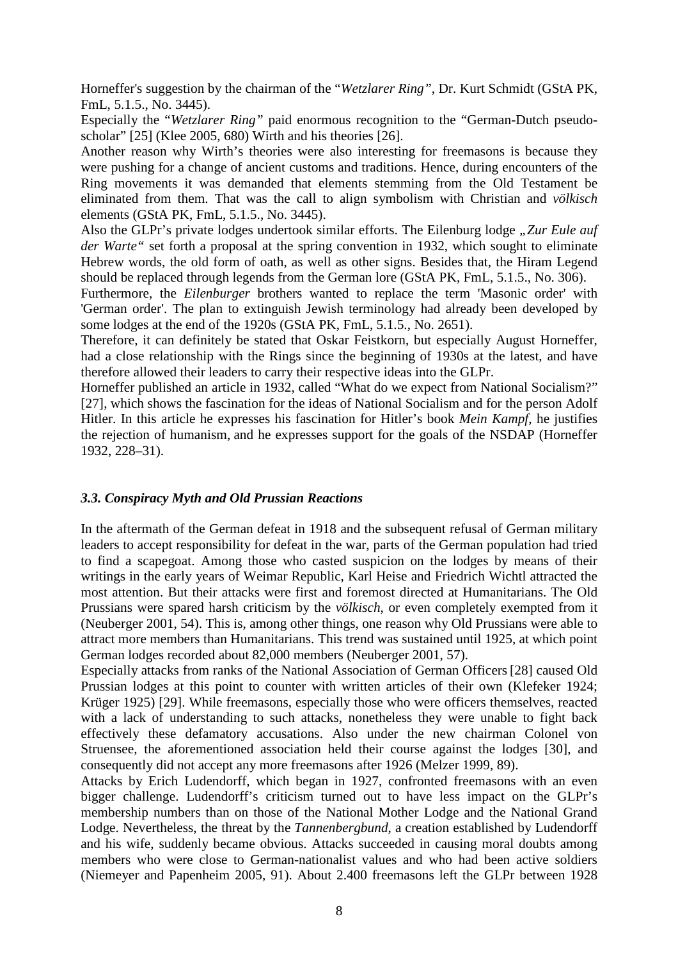Horneffer's suggestion by the chairman of the "*Wetzlarer Ring"*, Dr. Kurt Schmidt (GStA PK, FmL, 5.1.5., No. 3445).

Especially the "*Wetzlarer Ring"* paid enormous recognition to the "German-Dutch pseudoscholar" [25] (Klee 2005, 680) Wirth and his theories [26].

Another reason why Wirth's theories were also interesting for freemasons is because they were pushing for a change of ancient customs and traditions. Hence, during encounters of the Ring movements it was demanded that elements stemming from the Old Testament be eliminated from them. That was the call to align symbolism with Christian and *völkisch* elements (GStA PK, FmL, 5.1.5., No. 3445).

Also the GLPr's private lodges undertook similar efforts. The Eilenburg lodge "Zur Eule auf *der Warte"* set forth a proposal at the spring convention in 1932, which sought to eliminate Hebrew words, the old form of oath, as well as other signs. Besides that, the Hiram Legend should be replaced through legends from the German lore (GStA PK, FmL, 5.1.5., No. 306).

Furthermore, the *Eilenburger* brothers wanted to replace the term 'Masonic order' with 'German order'. The plan to extinguish Jewish terminology had already been developed by some lodges at the end of the 1920s (GStA PK, FmL, 5.1.5., No. 2651).

Therefore, it can definitely be stated that Oskar Feistkorn, but especially August Horneffer, had a close relationship with the Rings since the beginning of 1930s at the latest, and have therefore allowed their leaders to carry their respective ideas into the GLPr.

Horneffer published an article in 1932, called "What do we expect from National Socialism?" [27], which shows the fascination for the ideas of National Socialism and for the person Adolf Hitler. In this article he expresses his fascination for Hitler's book *Mein Kampf*, he justifies the rejection of humanism, and he expresses support for the goals of the NSDAP (Horneffer 1932, 228–31).

#### *3.3. Conspiracy Myth and Old Prussian Reactions*

In the aftermath of the German defeat in 1918 and the subsequent refusal of German military leaders to accept responsibility for defeat in the war, parts of the German population had tried to find a scapegoat. Among those who casted suspicion on the lodges by means of their writings in the early years of Weimar Republic, Karl Heise and Friedrich Wichtl attracted the most attention. But their attacks were first and foremost directed at Humanitarians. The Old Prussians were spared harsh criticism by the *völkisch*, or even completely exempted from it (Neuberger 2001, 54). This is, among other things, one reason why Old Prussians were able to attract more members than Humanitarians. This trend was sustained until 1925, at which point German lodges recorded about 82,000 members (Neuberger 2001, 57).

Especially attacks from ranks of the National Association of German Officers[28] caused Old Prussian lodges at this point to counter with written articles of their own (Klefeker 1924; Krüger 1925) [29]. While freemasons, especially those who were officers themselves, reacted with a lack of understanding to such attacks, nonetheless they were unable to fight back effectively these defamatory accusations. Also under the new chairman Colonel von Struensee, the aforementioned association held their course against the lodges [30], and consequently did not accept any more freemasons after 1926 (Melzer 1999, 89).

Attacks by Erich Ludendorff, which began in 1927, confronted freemasons with an even bigger challenge. Ludendorff's criticism turned out to have less impact on the GLPr's membership numbers than on those of the National Mother Lodge and the National Grand Lodge. Nevertheless, the threat by the *Tannenbergbund*, a creation established by Ludendorff and his wife, suddenly became obvious. Attacks succeeded in causing moral doubts among members who were close to German-nationalist values and who had been active soldiers (Niemeyer and Papenheim 2005, 91). About 2.400 freemasons left the GLPr between 1928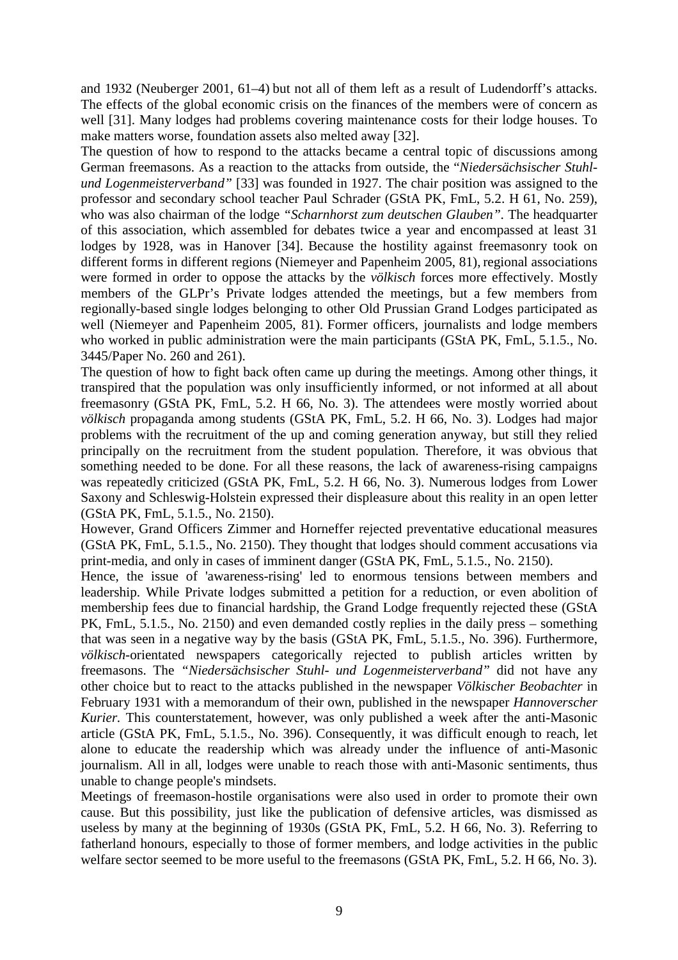and 1932 (Neuberger 2001, 61–4) but not all of them left as a result of Ludendorff's attacks. The effects of the global economic crisis on the finances of the members were of concern as well [31]. Many lodges had problems covering maintenance costs for their lodge houses. To make matters worse, foundation assets also melted away [32].

The question of how to respond to the attacks became a central topic of discussions among German freemasons. As a reaction to the attacks from outside, the "*Niedersächsischer Stuhlund Logenmeisterverband"* [33] was founded in 1927. The chair position was assigned to the professor and secondary school teacher Paul Schrader (GStA PK, FmL, 5.2. H 61, No. 259), who was also chairman of the lodge *"Scharnhorst zum deutschen Glauben".* The headquarter of this association, which assembled for debates twice a year and encompassed at least 31 lodges by 1928, was in Hanover [34]. Because the hostility against freemasonry took on different forms in different regions (Niemeyer and Papenheim 2005, 81), regional associations were formed in order to oppose the attacks by the *völkisch* forces more effectively. Mostly members of the GLPr's Private lodges attended the meetings, but a few members from regionally-based single lodges belonging to other Old Prussian Grand Lodges participated as well (Niemeyer and Papenheim 2005, 81). Former officers, journalists and lodge members who worked in public administration were the main participants (GStA PK, FmL, 5.1.5., No. 3445/Paper No. 260 and 261).

The question of how to fight back often came up during the meetings. Among other things, it transpired that the population was only insufficiently informed, or not informed at all about freemasonry (GStA PK, FmL, 5.2. H 66, No. 3). The attendees were mostly worried about *völkisch* propaganda among students (GStA PK, FmL, 5.2. H 66, No. 3). Lodges had major problems with the recruitment of the up and coming generation anyway, but still they relied principally on the recruitment from the student population. Therefore, it was obvious that something needed to be done. For all these reasons, the lack of awareness-rising campaigns was repeatedly criticized (GStA PK, FmL, 5.2. H 66, No. 3). Numerous lodges from Lower Saxony and Schleswig-Holstein expressed their displeasure about this reality in an open letter (GStA PK, FmL, 5.1.5., No. 2150).

However, Grand Officers Zimmer and Horneffer rejected preventative educational measures (GStA PK, FmL, 5.1.5., No. 2150). They thought that lodges should comment accusations via print-media, and only in cases of imminent danger (GStA PK, FmL, 5.1.5., No. 2150).

Hence, the issue of 'awareness-rising' led to enormous tensions between members and leadership. While Private lodges submitted a petition for a reduction, or even abolition of membership fees due to financial hardship, the Grand Lodge frequently rejected these (GStA PK, FmL, 5.1.5., No. 2150) and even demanded costly replies in the daily press – something that was seen in a negative way by the basis (GStA PK, FmL, 5.1.5., No. 396). Furthermore, *völkisch*-orientated newspapers categorically rejected to publish articles written by freemasons. The *"Niedersächsischer Stuhl- und Logenmeisterverband"* did not have any other choice but to react to the attacks published in the newspaper *Völkischer Beobachter* in February 1931 with a memorandum of their own, published in the newspaper *Hannoverscher Kurier.* This counterstatement, however, was only published a week after the anti-Masonic article (GStA PK, FmL, 5.1.5., No. 396). Consequently, it was difficult enough to reach, let alone to educate the readership which was already under the influence of anti-Masonic journalism. All in all, lodges were unable to reach those with anti-Masonic sentiments, thus unable to change people's mindsets.

Meetings of freemason-hostile organisations were also used in order to promote their own cause. But this possibility, just like the publication of defensive articles, was dismissed as useless by many at the beginning of 1930s (GStA PK, FmL, 5.2. H 66, No. 3). Referring to fatherland honours, especially to those of former members, and lodge activities in the public welfare sector seemed to be more useful to the freemasons (GStA PK, FmL, 5.2. H 66, No. 3).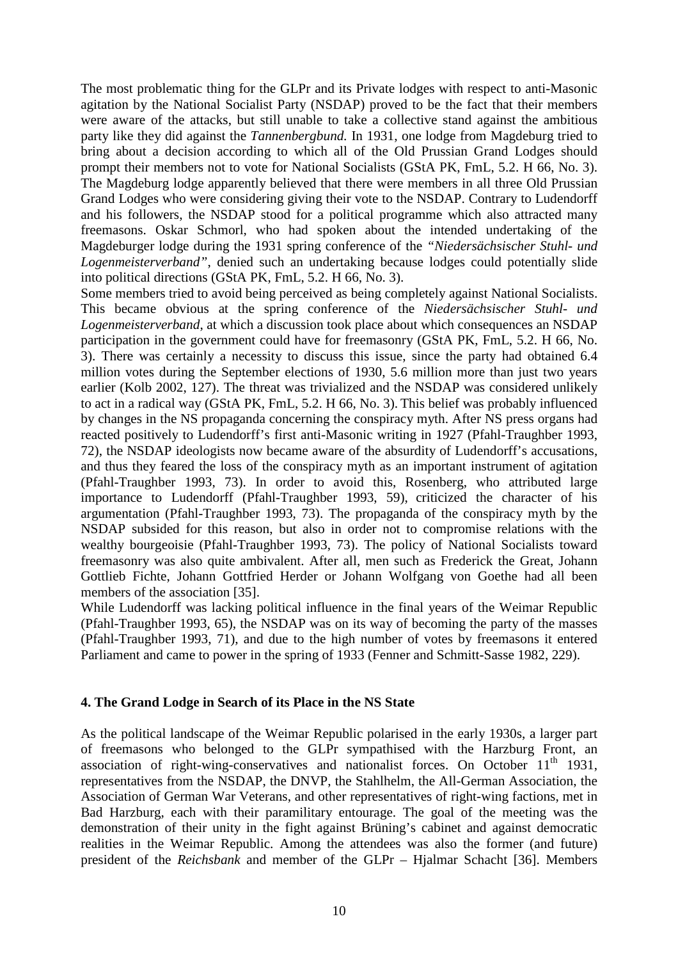The most problematic thing for the GLPr and its Private lodges with respect to anti-Masonic agitation by the National Socialist Party (NSDAP) proved to be the fact that their members were aware of the attacks, but still unable to take a collective stand against the ambitious party like they did against the *Tannenbergbund.* In 1931, one lodge from Magdeburg tried to bring about a decision according to which all of the Old Prussian Grand Lodges should prompt their members not to vote for National Socialists (GStA PK, FmL, 5.2. H 66, No. 3). The Magdeburg lodge apparently believed that there were members in all three Old Prussian Grand Lodges who were considering giving their vote to the NSDAP. Contrary to Ludendorff and his followers, the NSDAP stood for a political programme which also attracted many freemasons. Oskar Schmorl, who had spoken about the intended undertaking of the Magdeburger lodge during the 1931 spring conference of the *"Niedersächsischer Stuhl- und Logenmeisterverband"*, denied such an undertaking because lodges could potentially slide into political directions (GStA PK, FmL, 5.2. H 66, No. 3).

Some members tried to avoid being perceived as being completely against National Socialists. This became obvious at the spring conference of the *Niedersächsischer Stuhl- und Logenmeisterverband*, at which a discussion took place about which consequences an NSDAP participation in the government could have for freemasonry (GStA PK, FmL, 5.2. H 66, No. 3). There was certainly a necessity to discuss this issue, since the party had obtained 6.4 million votes during the September elections of 1930, 5.6 million more than just two years earlier (Kolb 2002, 127). The threat was trivialized and the NSDAP was considered unlikely to act in a radical way (GStA PK, FmL, 5.2. H 66, No. 3). This belief was probably influenced by changes in the NS propaganda concerning the conspiracy myth. After NS press organs had reacted positively to Ludendorff's first anti-Masonic writing in 1927 (Pfahl-Traughber 1993, 72), the NSDAP ideologists now became aware of the absurdity of Ludendorff's accusations, and thus they feared the loss of the conspiracy myth as an important instrument of agitation (Pfahl-Traughber 1993, 73). In order to avoid this, Rosenberg, who attributed large importance to Ludendorff (Pfahl-Traughber 1993, 59), criticized the character of his argumentation (Pfahl-Traughber 1993, 73). The propaganda of the conspiracy myth by the NSDAP subsided for this reason, but also in order not to compromise relations with the wealthy bourgeoisie (Pfahl-Traughber 1993, 73). The policy of National Socialists toward freemasonry was also quite ambivalent. After all, men such as Frederick the Great, Johann Gottlieb Fichte, Johann Gottfried Herder or Johann Wolfgang von Goethe had all been members of the association [35].

While Ludendorff was lacking political influence in the final years of the Weimar Republic (Pfahl-Traughber 1993, 65), the NSDAP was on its way of becoming the party of the masses (Pfahl-Traughber 1993, 71), and due to the high number of votes by freemasons it entered Parliament and came to power in the spring of 1933 (Fenner and Schmitt-Sasse 1982, 229).

### **4. The Grand Lodge in Search of its Place in the NS State**

As the political landscape of the Weimar Republic polarised in the early 1930s, a larger part of freemasons who belonged to the GLPr sympathised with the Harzburg Front, an association of right-wing-conservatives and nationalist forces. On October  $11<sup>th</sup>$  1931, representatives from the NSDAP, the DNVP, the Stahlhelm, the All-German Association, the Association of German War Veterans, and other representatives of right-wing factions, met in Bad Harzburg, each with their paramilitary entourage. The goal of the meeting was the demonstration of their unity in the fight against Brüning's cabinet and against democratic realities in the Weimar Republic. Among the attendees was also the former (and future) president of the *Reichsbank* and member of the GLPr – Hjalmar Schacht [36]. Members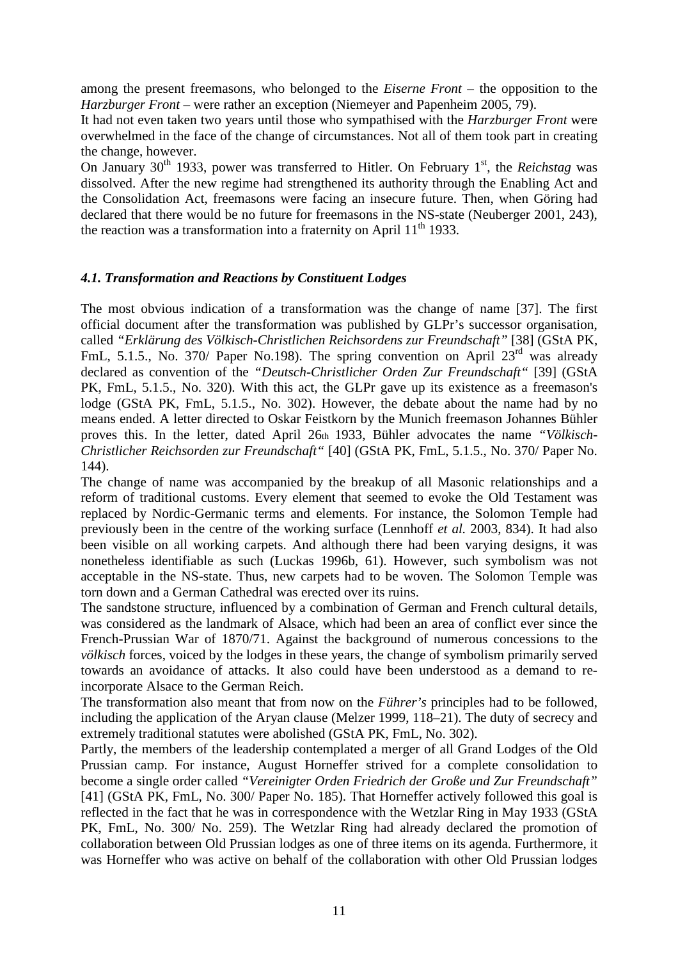among the present freemasons, who belonged to the *Eiserne Front* – the opposition to the *Harzburger Front* – were rather an exception (Niemeyer and Papenheim 2005, 79).

It had not even taken two years until those who sympathised with the *Harzburger Front* were overwhelmed in the face of the change of circumstances. Not all of them took part in creating the change, however.

On January 30<sup>th</sup> 1933, power was transferred to Hitler. On February 1<sup>st</sup>, the *Reichstag* was dissolved. After the new regime had strengthened its authority through the Enabling Act and the Consolidation Act, freemasons were facing an insecure future. Then, when Göring had declared that there would be no future for freemasons in the NS-state (Neuberger 2001, 243), the reaction was a transformation into a fraternity on April  $11<sup>th</sup>$  1933.

## *4.1. Transformation and Reactions by Constituent Lodges*

The most obvious indication of a transformation was the change of name [37]. The first official document after the transformation was published by GLPr's successor organisation, called *"Erklärung des Völkisch-Christlichen Reichsordens zur Freundschaft"* [38] (GStA PK, FmL, 5.1.5., No. 370/ Paper No.198). The spring convention on April  $23<sup>rd</sup>$  was already declared as convention of the *"Deutsch-Christlicher Orden Zur Freundschaft"* [39] (GStA PK, FmL, 5.1.5., No. 320)*.* With this act, the GLPr gave up its existence as a freemason's lodge (GStA PK, FmL, 5.1.5., No. 302). However, the debate about the name had by no means ended. A letter directed to Oskar Feistkorn by the Munich freemason Johannes Bühler proves this. In the letter, dated April 26th 1933, Bühler advocates the name *"Völkisch-Christlicher Reichsorden zur Freundschaft"* [40] (GStA PK, FmL, 5.1.5., No. 370/ Paper No. 144).

The change of name was accompanied by the breakup of all Masonic relationships and a reform of traditional customs. Every element that seemed to evoke the Old Testament was replaced by Nordic-Germanic terms and elements. For instance, the Solomon Temple had previously been in the centre of the working surface (Lennhoff *et al.* 2003, 834). It had also been visible on all working carpets. And although there had been varying designs, it was nonetheless identifiable as such (Luckas 1996b, 61). However, such symbolism was not acceptable in the NS-state. Thus, new carpets had to be woven. The Solomon Temple was torn down and a German Cathedral was erected over its ruins.

The sandstone structure, influenced by a combination of German and French cultural details, was considered as the landmark of Alsace, which had been an area of conflict ever since the French-Prussian War of 1870/71. Against the background of numerous concessions to the *völkisch* forces, voiced by the lodges in these years, the change of symbolism primarily served towards an avoidance of attacks. It also could have been understood as a demand to reincorporate Alsace to the German Reich.

The transformation also meant that from now on the *Führer's* principles had to be followed, including the application of the Aryan clause (Melzer 1999, 118–21). The duty of secrecy and extremely traditional statutes were abolished (GStA PK, FmL, No. 302).

Partly, the members of the leadership contemplated a merger of all Grand Lodges of the Old Prussian camp. For instance, August Horneffer strived for a complete consolidation to become a single order called *"Vereinigter Orden Friedrich der Große und Zur Freundschaft"*  [41] (GStA PK, FmL, No. 300/ Paper No. 185). That Horneffer actively followed this goal is reflected in the fact that he was in correspondence with the Wetzlar Ring in May 1933 (GStA PK, FmL, No. 300/ No. 259). The Wetzlar Ring had already declared the promotion of collaboration between Old Prussian lodges as one of three items on its agenda. Furthermore, it was Horneffer who was active on behalf of the collaboration with other Old Prussian lodges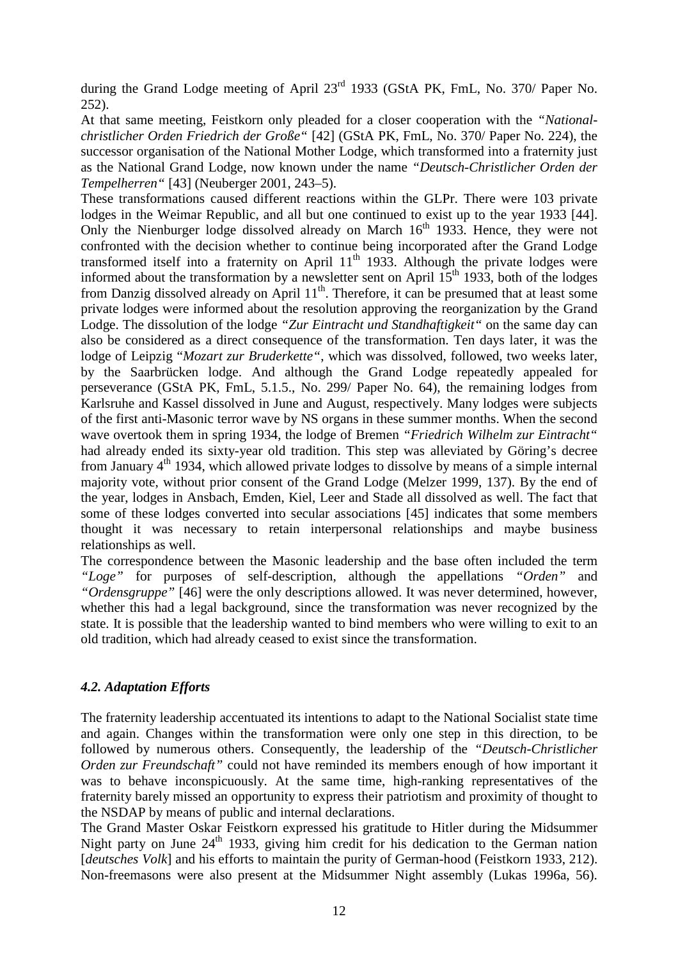during the Grand Lodge meeting of April 23<sup>rd</sup> 1933 (GStA PK, FmL, No. 370/ Paper No. 252).

At that same meeting, Feistkorn only pleaded for a closer cooperation with the *"Nationalchristlicher Orden Friedrich der Große"* [42] (GStA PK, FmL, No. 370/ Paper No. 224), the successor organisation of the National Mother Lodge, which transformed into a fraternity just as the National Grand Lodge, now known under the name *"Deutsch-Christlicher Orden der Tempelherren"* [43] (Neuberger 2001, 243–5).

These transformations caused different reactions within the GLPr. There were 103 private lodges in the Weimar Republic, and all but one continued to exist up to the year 1933 [44]. Only the Nienburger lodge dissolved already on March 16<sup>th</sup> 1933. Hence, they were not confronted with the decision whether to continue being incorporated after the Grand Lodge transformed itself into a fraternity on April  $11<sup>th</sup>$  1933. Although the private lodges were informed about the transformation by a newsletter sent on April  $15<sup>th</sup> 1933$ , both of the lodges from Danzig dissolved already on April  $11<sup>th</sup>$ . Therefore, it can be presumed that at least some private lodges were informed about the resolution approving the reorganization by the Grand Lodge. The dissolution of the lodge *"Zur Eintracht und Standhaftigkeit"* on the same day can also be considered as a direct consequence of the transformation. Ten days later, it was the lodge of Leipzig "*Mozart zur Bruderkette"*, which was dissolved, followed, two weeks later, by the Saarbrücken lodge. And although the Grand Lodge repeatedly appealed for perseverance (GStA PK, FmL, 5.1.5., No. 299/ Paper No. 64), the remaining lodges from Karlsruhe and Kassel dissolved in June and August, respectively. Many lodges were subjects of the first anti-Masonic terror wave by NS organs in these summer months. When the second wave overtook them in spring 1934, the lodge of Bremen *"Friedrich Wilhelm zur Eintracht"* had already ended its sixty-year old tradition. This step was alleviated by Göring's decree from January 4<sup>th</sup> 1934, which allowed private lodges to dissolve by means of a simple internal majority vote, without prior consent of the Grand Lodge (Melzer 1999, 137). By the end of the year, lodges in Ansbach, Emden, Kiel, Leer and Stade all dissolved as well. The fact that some of these lodges converted into secular associations [45] indicates that some members thought it was necessary to retain interpersonal relationships and maybe business relationships as well.

The correspondence between the Masonic leadership and the base often included the term *"Loge"* for purposes of self-description, although the appellations *"Orden"* and *"Ordensgruppe"* [46] were the only descriptions allowed. It was never determined, however, whether this had a legal background, since the transformation was never recognized by the state. It is possible that the leadership wanted to bind members who were willing to exit to an old tradition, which had already ceased to exist since the transformation.

### *4.2. Adaptation Efforts*

The fraternity leadership accentuated its intentions to adapt to the National Socialist state time and again. Changes within the transformation were only one step in this direction, to be followed by numerous others. Consequently, the leadership of the *"Deutsch-Christlicher Orden zur Freundschaft"* could not have reminded its members enough of how important it was to behave inconspicuously. At the same time, high-ranking representatives of the fraternity barely missed an opportunity to express their patriotism and proximity of thought to the NSDAP by means of public and internal declarations.

The Grand Master Oskar Feistkorn expressed his gratitude to Hitler during the Midsummer Night party on June  $24<sup>th</sup>$  1933, giving him credit for his dedication to the German nation [*deutsches Volk*] and his efforts to maintain the purity of German-hood (Feistkorn 1933, 212). Non-freemasons were also present at the Midsummer Night assembly (Lukas 1996a, 56).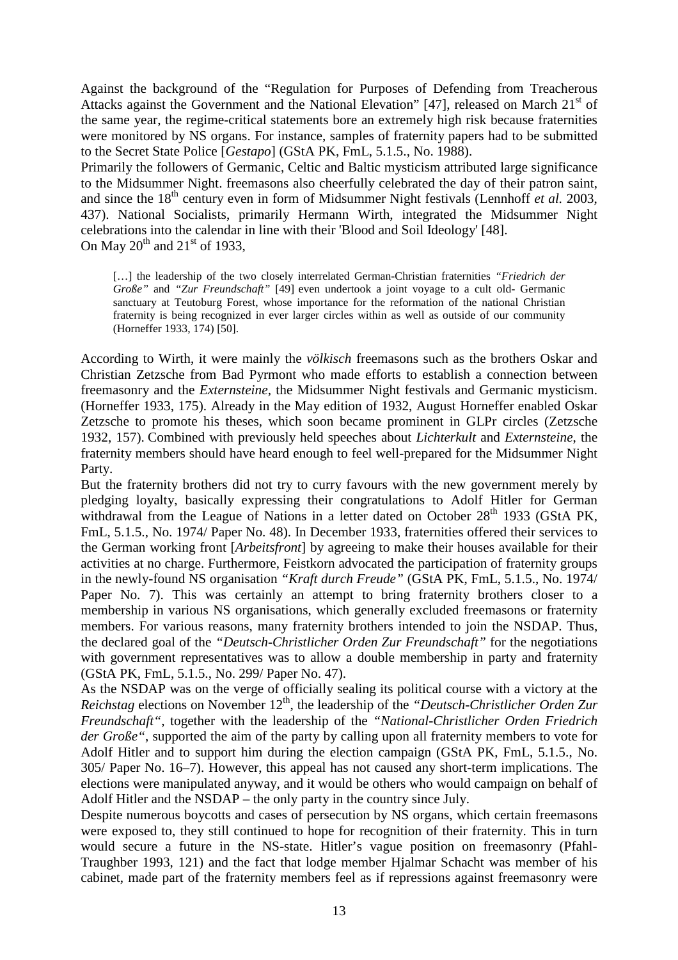Against the background of the "Regulation for Purposes of Defending from Treacherous Attacks against the Government and the National Elevation" [47], released on March  $21<sup>st</sup>$  of the same year, the regime-critical statements bore an extremely high risk because fraternities were monitored by NS organs. For instance, samples of fraternity papers had to be submitted to the Secret State Police [*Gestapo*] (GStA PK, FmL, 5.1.5., No. 1988).

Primarily the followers of Germanic, Celtic and Baltic mysticism attributed large significance to the Midsummer Night. freemasons also cheerfully celebrated the day of their patron saint, and since the 18<sup>th</sup> century even in form of Midsummer Night festivals (Lennhoff *et al.* 2003, 437). National Socialists, primarily Hermann Wirth, integrated the Midsummer Night celebrations into the calendar in line with their 'Blood and Soil Ideology' [48]. On May  $20^{th}$  and  $21^{st}$  of 1933,

[...] the leadership of the two closely interrelated German-Christian fraternities *"Friedrich der Große"* and *"Zur Freundschaft"* [49] even undertook a joint voyage to a cult old- Germanic sanctuary at Teutoburg Forest, whose importance for the reformation of the national Christian fraternity is being recognized in ever larger circles within as well as outside of our community (Horneffer 1933, 174) [50].

According to Wirth, it were mainly the *völkisch* freemasons such as the brothers Oskar and Christian Zetzsche from Bad Pyrmont who made efforts to establish a connection between freemasonry and the *Externsteine,* the Midsummer Night festivals and Germanic mysticism. (Horneffer 1933, 175). Already in the May edition of 1932, August Horneffer enabled Oskar Zetzsche to promote his theses, which soon became prominent in GLPr circles (Zetzsche 1932, 157). Combined with previously held speeches about *Lichterkult* and *Externsteine*, the fraternity members should have heard enough to feel well-prepared for the Midsummer Night Party.

But the fraternity brothers did not try to curry favours with the new government merely by pledging loyalty, basically expressing their congratulations to Adolf Hitler for German withdrawal from the League of Nations in a letter dated on October 28<sup>th</sup> 1933 (GStA PK, FmL, 5.1.5., No. 1974/ Paper No. 48). In December 1933, fraternities offered their services to the German working front [*Arbeitsfront*] by agreeing to make their houses available for their activities at no charge. Furthermore, Feistkorn advocated the participation of fraternity groups in the newly-found NS organisation *"Kraft durch Freude"* (GStA PK, FmL, 5.1.5., No. 1974/ Paper No. 7). This was certainly an attempt to bring fraternity brothers closer to a membership in various NS organisations, which generally excluded freemasons or fraternity members. For various reasons, many fraternity brothers intended to join the NSDAP. Thus, the declared goal of the *"Deutsch-Christlicher Orden Zur Freundschaft"* for the negotiations with government representatives was to allow a double membership in party and fraternity (GStA PK, FmL, 5.1.5., No. 299/ Paper No. 47).

As the NSDAP was on the verge of officially sealing its political course with a victory at the *Reichstag* elections on November 12<sup>th</sup>, the leadership of the *"Deutsch-Christlicher Orden Zur Freundschaft"*, together with the leadership of the *"National-Christlicher Orden Friedrich der Große"*, supported the aim of the party by calling upon all fraternity members to vote for Adolf Hitler and to support him during the election campaign (GStA PK, FmL, 5.1.5., No. 305/ Paper No. 16–7). However, this appeal has not caused any short-term implications. The elections were manipulated anyway, and it would be others who would campaign on behalf of Adolf Hitler and the NSDAP – the only party in the country since July.

Despite numerous boycotts and cases of persecution by NS organs, which certain freemasons were exposed to, they still continued to hope for recognition of their fraternity. This in turn would secure a future in the NS-state. Hitler's vague position on freemasonry (Pfahl-Traughber 1993, 121) and the fact that lodge member Hjalmar Schacht was member of his cabinet, made part of the fraternity members feel as if repressions against freemasonry were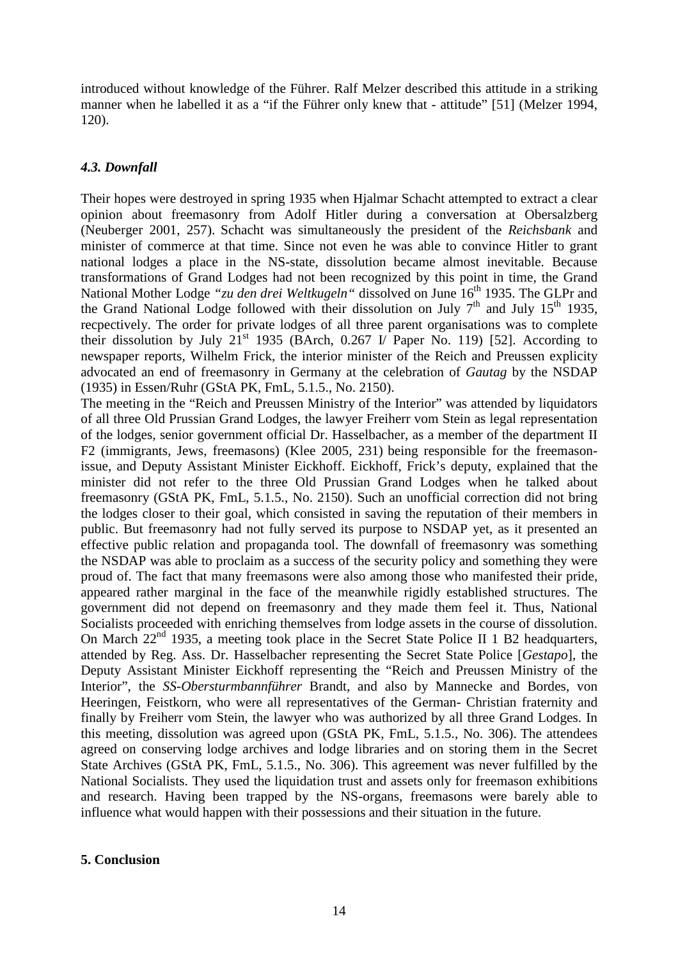introduced without knowledge of the Führer. Ralf Melzer described this attitude in a striking manner when he labelled it as a "if the Führer only knew that - attitude" [51] (Melzer 1994, 120).

# *4.3. Downfall*

Their hopes were destroyed in spring 1935 when Hjalmar Schacht attempted to extract a clear opinion about freemasonry from Adolf Hitler during a conversation at Obersalzberg (Neuberger 2001, 257). Schacht was simultaneously the president of the *Reichsbank* and minister of commerce at that time. Since not even he was able to convince Hitler to grant national lodges a place in the NS-state, dissolution became almost inevitable. Because transformations of Grand Lodges had not been recognized by this point in time, the Grand National Mother Lodge "zu den drei Weltkugeln" dissolved on June 16<sup>th</sup> 1935. The GLPr and the Grand National Lodge followed with their dissolution on July  $7<sup>th</sup>$  and July 15<sup>th</sup> 1935, recpectively. The order for private lodges of all three parent organisations was to complete their dissolution by July 21<sup>st</sup> 1935 (BArch, 0.267 I/ Paper No. 119) [52]. According to newspaper reports, Wilhelm Frick, the interior minister of the Reich and Preussen explicity advocated an end of freemasonry in Germany at the celebration of *Gautag* by the NSDAP (1935) in Essen/Ruhr (GStA PK, FmL, 5.1.5., No. 2150).

The meeting in the "Reich and Preussen Ministry of the Interior" was attended by liquidators of all three Old Prussian Grand Lodges, the lawyer Freiherr vom Stein as legal representation of the lodges, senior government official Dr. Hasselbacher, as a member of the department II F2 (immigrants, Jews, freemasons) (Klee 2005, 231) being responsible for the freemasonissue, and Deputy Assistant Minister Eickhoff. Eickhoff, Frick's deputy, explained that the minister did not refer to the three Old Prussian Grand Lodges when he talked about freemasonry (GStA PK, FmL, 5.1.5., No. 2150). Such an unofficial correction did not bring the lodges closer to their goal, which consisted in saving the reputation of their members in public. But freemasonry had not fully served its purpose to NSDAP yet, as it presented an effective public relation and propaganda tool. The downfall of freemasonry was something the NSDAP was able to proclaim as a success of the security policy and something they were proud of. The fact that many freemasons were also among those who manifested their pride, appeared rather marginal in the face of the meanwhile rigidly established structures. The government did not depend on freemasonry and they made them feel it. Thus, National Socialists proceeded with enriching themselves from lodge assets in the course of dissolution. On March  $22<sup>nd</sup>$  1935, a meeting took place in the Secret State Police II 1 B2 headquarters, attended by Reg. Ass. Dr. Hasselbacher representing the Secret State Police [*Gestapo*], the Deputy Assistant Minister Eickhoff representing the "Reich and Preussen Ministry of the Interior", the *SS-Obersturmbannführer* Brandt, and also by Mannecke and Bordes, von Heeringen, Feistkorn, who were all representatives of the German- Christian fraternity and finally by Freiherr vom Stein, the lawyer who was authorized by all three Grand Lodges. In this meeting, dissolution was agreed upon (GStA PK, FmL, 5.1.5., No. 306). The attendees agreed on conserving lodge archives and lodge libraries and on storing them in the Secret State Archives (GStA PK, FmL, 5.1.5., No. 306). This agreement was never fulfilled by the National Socialists. They used the liquidation trust and assets only for freemason exhibitions and research. Having been trapped by the NS-organs, freemasons were barely able to influence what would happen with their possessions and their situation in the future.

### **5. Conclusion**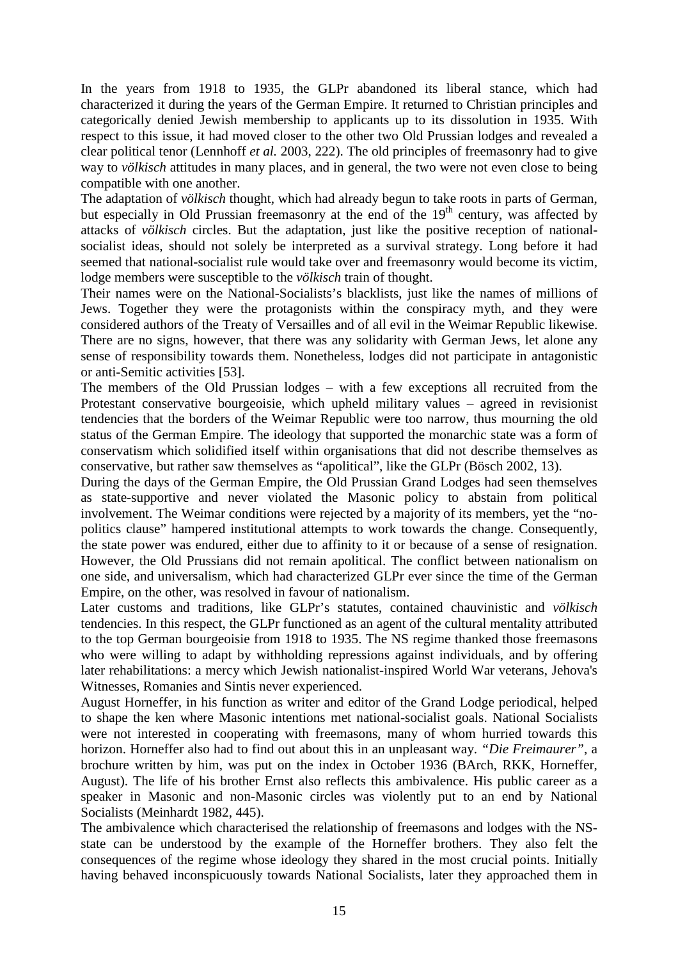In the years from 1918 to 1935, the GLPr abandoned its liberal stance, which had characterized it during the years of the German Empire. It returned to Christian principles and categorically denied Jewish membership to applicants up to its dissolution in 1935. With respect to this issue, it had moved closer to the other two Old Prussian lodges and revealed a clear political tenor (Lennhoff *et al.* 2003, 222). The old principles of freemasonry had to give way to *völkisch* attitudes in many places, and in general, the two were not even close to being compatible with one another.

The adaptation of *völkisch* thought, which had already begun to take roots in parts of German, but especially in Old Prussian freemasonry at the end of the 19<sup>th</sup> century, was affected by attacks of *völkisch* circles. But the adaptation, just like the positive reception of nationalsocialist ideas, should not solely be interpreted as a survival strategy. Long before it had seemed that national-socialist rule would take over and freemasonry would become its victim, lodge members were susceptible to the *völkisch* train of thought.

Their names were on the National-Socialists's blacklists, just like the names of millions of Jews. Together they were the protagonists within the conspiracy myth, and they were considered authors of the Treaty of Versailles and of all evil in the Weimar Republic likewise. There are no signs, however, that there was any solidarity with German Jews, let alone any sense of responsibility towards them. Nonetheless, lodges did not participate in antagonistic or anti-Semitic activities [53].

The members of the Old Prussian lodges – with a few exceptions all recruited from the Protestant conservative bourgeoisie, which upheld military values – agreed in revisionist tendencies that the borders of the Weimar Republic were too narrow, thus mourning the old status of the German Empire. The ideology that supported the monarchic state was a form of conservatism which solidified itself within organisations that did not describe themselves as conservative, but rather saw themselves as "apolitical", like the GLPr (Bösch 2002, 13).

During the days of the German Empire, the Old Prussian Grand Lodges had seen themselves as state-supportive and never violated the Masonic policy to abstain from political involvement. The Weimar conditions were rejected by a majority of its members, yet the "nopolitics clause" hampered institutional attempts to work towards the change. Consequently, the state power was endured, either due to affinity to it or because of a sense of resignation. However, the Old Prussians did not remain apolitical. The conflict between nationalism on one side, and universalism, which had characterized GLPr ever since the time of the German Empire, on the other, was resolved in favour of nationalism.

Later customs and traditions, like GLPr's statutes, contained chauvinistic and *völkisch* tendencies. In this respect, the GLPr functioned as an agent of the cultural mentality attributed to the top German bourgeoisie from 1918 to 1935. The NS regime thanked those freemasons who were willing to adapt by withholding repressions against individuals, and by offering later rehabilitations: a mercy which Jewish nationalist-inspired World War veterans, Jehova's Witnesses, Romanies and Sintis never experienced.

August Horneffer, in his function as writer and editor of the Grand Lodge periodical, helped to shape the ken where Masonic intentions met national-socialist goals. National Socialists were not interested in cooperating with freemasons, many of whom hurried towards this horizon. Horneffer also had to find out about this in an unpleasant way. *"Die Freimaurer"*, a brochure written by him, was put on the index in October 1936 (BArch, RKK, Horneffer, August). The life of his brother Ernst also reflects this ambivalence. His public career as a speaker in Masonic and non-Masonic circles was violently put to an end by National Socialists (Meinhardt 1982, 445).

The ambivalence which characterised the relationship of freemasons and lodges with the NSstate can be understood by the example of the Horneffer brothers. They also felt the consequences of the regime whose ideology they shared in the most crucial points. Initially having behaved inconspicuously towards National Socialists, later they approached them in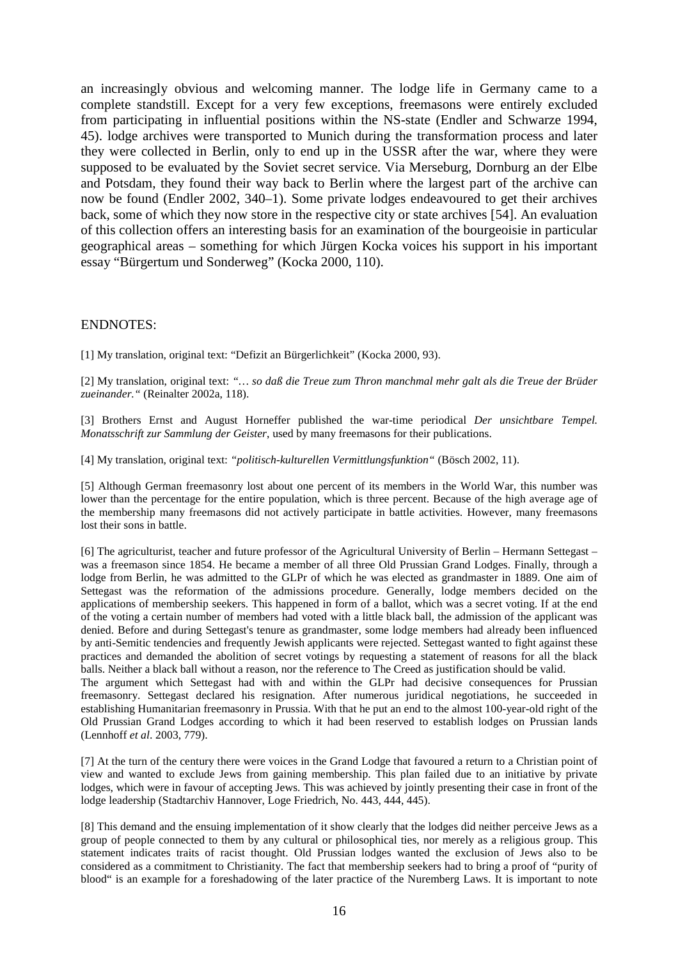an increasingly obvious and welcoming manner. The lodge life in Germany came to a complete standstill. Except for a very few exceptions, freemasons were entirely excluded from participating in influential positions within the NS-state (Endler and Schwarze 1994, 45). lodge archives were transported to Munich during the transformation process and later they were collected in Berlin, only to end up in the USSR after the war, where they were supposed to be evaluated by the Soviet secret service. Via Merseburg, Dornburg an der Elbe and Potsdam, they found their way back to Berlin where the largest part of the archive can now be found (Endler 2002, 340–1). Some private lodges endeavoured to get their archives back, some of which they now store in the respective city or state archives [54]. An evaluation of this collection offers an interesting basis for an examination of the bourgeoisie in particular geographical areas – something for which Jürgen Kocka voices his support in his important essay "Bürgertum und Sonderweg" (Kocka 2000, 110).

#### ENDNOTES:

[1] My translation, original text: "Defizit an Bürgerlichkeit" (Kocka 2000, 93).

[2] My translation, original text: *"… so daß die Treue zum Thron manchmal mehr galt als die Treue der Brüder zueinander."* (Reinalter 2002a, 118).

[3] Brothers Ernst and August Horneffer published the war-time periodical *Der unsichtbare Tempel. Monatsschrift zur Sammlung der Geister*, used by many freemasons for their publications.

[4] My translation, original text: *"politisch-kulturellen Vermittlungsfunktion"* (Bösch 2002, 11).

[5] Although German freemasonry lost about one percent of its members in the World War, this number was lower than the percentage for the entire population, which is three percent. Because of the high average age of the membership many freemasons did not actively participate in battle activities. However, many freemasons lost their sons in battle.

[6] The agriculturist, teacher and future professor of the Agricultural University of Berlin – Hermann Settegast – was a freemason since 1854. He became a member of all three Old Prussian Grand Lodges. Finally, through a lodge from Berlin, he was admitted to the GLPr of which he was elected as grandmaster in 1889. One aim of Settegast was the reformation of the admissions procedure. Generally, lodge members decided on the applications of membership seekers. This happened in form of a ballot, which was a secret voting. If at the end of the voting a certain number of members had voted with a little black ball, the admission of the applicant was denied. Before and during Settegast's tenure as grandmaster, some lodge members had already been influenced by anti-Semitic tendencies and frequently Jewish applicants were rejected. Settegast wanted to fight against these practices and demanded the abolition of secret votings by requesting a statement of reasons for all the black balls. Neither a black ball without a reason, nor the reference to The Creed as justification should be valid.

The argument which Settegast had with and within the GLPr had decisive consequences for Prussian freemasonry. Settegast declared his resignation. After numerous juridical negotiations, he succeeded in establishing Humanitarian freemasonry in Prussia. With that he put an end to the almost 100-year-old right of the Old Prussian Grand Lodges according to which it had been reserved to establish lodges on Prussian lands (Lennhoff *et al*. 2003, 779).

[7] At the turn of the century there were voices in the Grand Lodge that favoured a return to a Christian point of view and wanted to exclude Jews from gaining membership. This plan failed due to an initiative by private lodges, which were in favour of accepting Jews. This was achieved by jointly presenting their case in front of the lodge leadership (Stadtarchiv Hannover, Loge Friedrich, No. 443, 444, 445).

[8] This demand and the ensuing implementation of it show clearly that the lodges did neither perceive Jews as a group of people connected to them by any cultural or philosophical ties, nor merely as a religious group. This statement indicates traits of racist thought. Old Prussian lodges wanted the exclusion of Jews also to be considered as a commitment to Christianity. The fact that membership seekers had to bring a proof of "purity of blood" is an example for a foreshadowing of the later practice of the Nuremberg Laws. It is important to note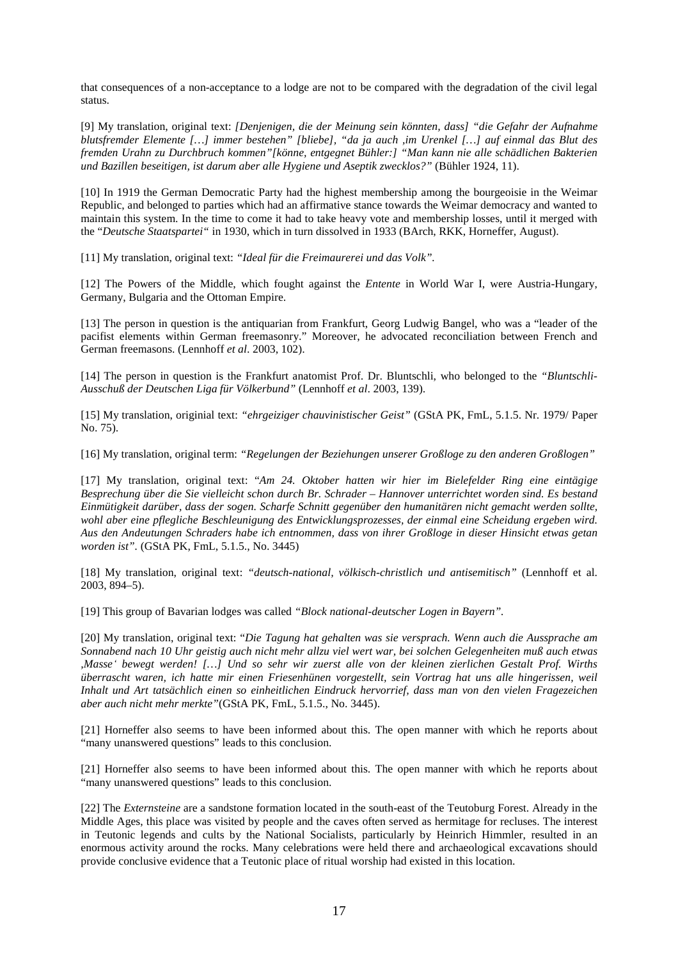that consequences of a non-acceptance to a lodge are not to be compared with the degradation of the civil legal status.

[9] My translation, original text: *[Denjenigen, die der Meinung sein könnten, dass] "die Gefahr der Aufnahme blutsfremder Elemente […] immer bestehen" [bliebe], "da ja auch ,im Urenkel […] auf einmal das Blut des fremden Urahn zu Durchbruch kommen"[könne, entgegnet Bühler:] "Man kann nie alle schädlichen Bakterien und Bazillen beseitigen, ist darum aber alle Hygiene und Aseptik zwecklos?"* (Bühler 1924, 11).

[10] In 1919 the German Democratic Party had the highest membership among the bourgeoisie in the Weimar Republic, and belonged to parties which had an affirmative stance towards the Weimar democracy and wanted to maintain this system. In the time to come it had to take heavy vote and membership losses, until it merged with the "*Deutsche Staatspartei"* in 1930, which in turn dissolved in 1933 (BArch, RKK, Horneffer, August).

[11] My translation, original text: *"Ideal für die Freimaurerei und das Volk".* 

[12] The Powers of the Middle, which fought against the *Entente* in World War I, were Austria-Hungary, Germany, Bulgaria and the Ottoman Empire.

[13] The person in question is the antiquarian from Frankfurt, Georg Ludwig Bangel, who was a "leader of the pacifist elements within German freemasonry." Moreover, he advocated reconciliation between French and German freemasons. (Lennhoff *et al*. 2003, 102).

[14] The person in question is the Frankfurt anatomist Prof. Dr. Bluntschli, who belonged to the *"Bluntschli-Ausschuß der Deutschen Liga für Völkerbund"* (Lennhoff *et al*. 2003, 139).

[15] My translation, originial text: *"ehrgeiziger chauvinistischer Geist"* (GStA PK, FmL, 5.1.5. Nr. 1979/ Paper No. 75).

[16] My translation, original term: *"Regelungen der Beziehungen unserer Großloge zu den anderen Großlogen"* 

[17] My translation, original text: "*Am 24. Oktober hatten wir hier im Bielefelder Ring eine eintägige Besprechung über die Sie vielleicht schon durch Br. Schrader – Hannover unterrichtet worden sind. Es bestand Einmütigkeit darüber, dass der sogen. Scharfe Schnitt gegenüber den humanitären nicht gemacht werden sollte, wohl aber eine pflegliche Beschleunigung des Entwicklungsprozesses, der einmal eine Scheidung ergeben wird. Aus den Andeutungen Schraders habe ich entnommen, dass von ihrer Großloge in dieser Hinsicht etwas getan worden ist".* (GStA PK, FmL, 5.1.5., No. 3445)

[18] My translation, original text: *"deutsch-national, völkisch-christlich und antisemitisch"* (Lennhoff et al. 2003, 894–5).

[19] This group of Bavarian lodges was called *"Block national-deutscher Logen in Bayern".* 

[20] My translation, original text: "*Die Tagung hat gehalten was sie versprach. Wenn auch die Aussprache am Sonnabend nach 10 Uhr geistig auch nicht mehr allzu viel wert war, bei solchen Gelegenheiten muß auch etwas ,Masseʻ bewegt werden! […] Und so sehr wir zuerst alle von der kleinen zierlichen Gestalt Prof. Wirths überrascht waren, ich hatte mir einen Friesenhünen vorgestellt, sein Vortrag hat uns alle hingerissen, weil Inhalt und Art tatsächlich einen so einheitlichen Eindruck hervorrief, dass man von den vielen Fragezeichen aber auch nicht mehr merkte"*(GStA PK, FmL, 5.1.5., No. 3445).

[21] Horneffer also seems to have been informed about this. The open manner with which he reports about "many unanswered questions" leads to this conclusion.

[21] Horneffer also seems to have been informed about this. The open manner with which he reports about "many unanswered questions" leads to this conclusion.

[22] The *Externsteine* are a sandstone formation located in the south-east of the Teutoburg Forest. Already in the Middle Ages, this place was visited by people and the caves often served as hermitage for recluses. The interest in Teutonic legends and cults by the National Socialists, particularly by Heinrich Himmler, resulted in an enormous activity around the rocks. Many celebrations were held there and archaeological excavations should provide conclusive evidence that a Teutonic place of ritual worship had existed in this location.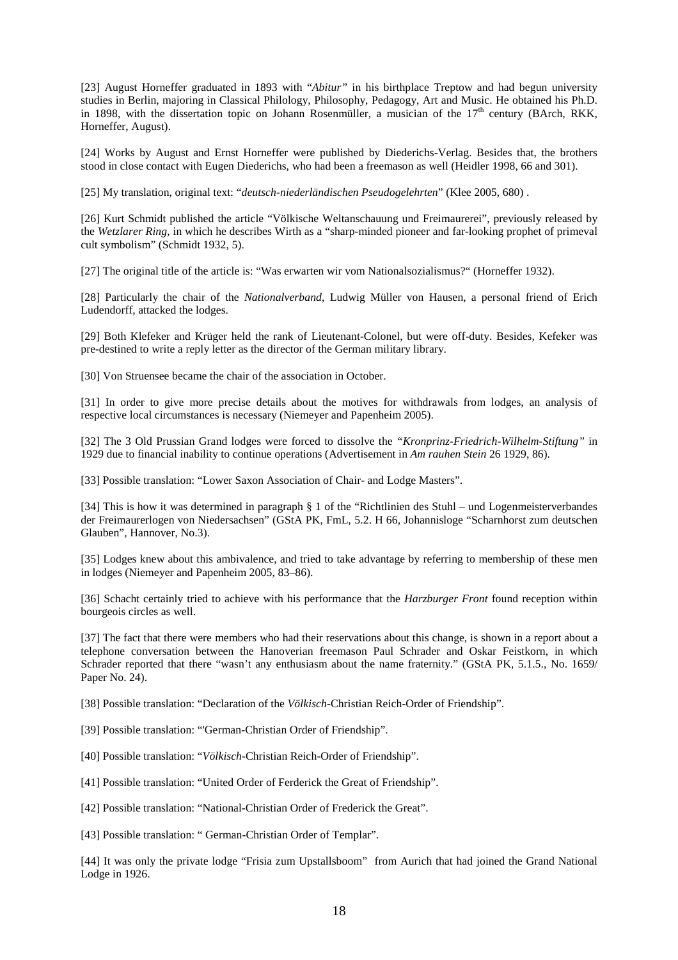[23] August Horneffer graduated in 1893 with "*Abitur"* in his birthplace Treptow and had begun university studies in Berlin, majoring in Classical Philology, Philosophy, Pedagogy, Art and Music. He obtained his Ph.D. in 1898, with the dissertation topic on Johann Rosenmüller, a musician of the 17<sup>th</sup> century (BArch, RKK, Horneffer, August).

[24] Works by August and Ernst Horneffer were published by Diederichs-Verlag. Besides that, the brothers stood in close contact with Eugen Diederichs, who had been a freemason as well (Heidler 1998, 66 and 301).

[25] My translation, original text: "*deutsch-niederländischen Pseudogelehrten*" (Klee 2005, 680) .

[26] Kurt Schmidt published the article "Völkische Weltanschauung und Freimaurerei", previously released by the *Wetzlarer Ring*, in which he describes Wirth as a "sharp-minded pioneer and far-looking prophet of primeval cult symbolism" (Schmidt 1932, 5).

[27] The original title of the article is: "Was erwarten wir vom Nationalsozialismus?" (Horneffer 1932).

[28] Particularly the chair of the *Nationalverband*, Ludwig Müller von Hausen, a personal friend of Erich Ludendorff, attacked the lodges.

[29] Both Klefeker and Krüger held the rank of Lieutenant-Colonel, but were off-duty. Besides, Kefeker was pre-destined to write a reply letter as the director of the German military library.

[30] Von Struensee became the chair of the association in October.

[31] In order to give more precise details about the motives for withdrawals from lodges, an analysis of respective local circumstances is necessary (Niemeyer and Papenheim 2005).

[32] The 3 Old Prussian Grand lodges were forced to dissolve the *"Kronprinz-Friedrich-Wilhelm-Stiftung"* in 1929 due to financial inability to continue operations (Advertisement in *Am rauhen Stein* 26 1929, 86).

[33] Possible translation: "Lower Saxon Association of Chair- and Lodge Masters".

[34] This is how it was determined in paragraph § 1 of the "Richtlinien des Stuhl – und Logenmeisterverbandes der Freimaurerlogen von Niedersachsen" (GStA PK, FmL, 5.2. H 66, Johannisloge "Scharnhorst zum deutschen Glauben", Hannover, No.3).

[35] Lodges knew about this ambivalence, and tried to take advantage by referring to membership of these men in lodges (Niemeyer and Papenheim 2005, 83–86).

[36] Schacht certainly tried to achieve with his performance that the *Harzburger Front* found reception within bourgeois circles as well.

[37] The fact that there were members who had their reservations about this change, is shown in a report about a telephone conversation between the Hanoverian freemason Paul Schrader and Oskar Feistkorn, in which Schrader reported that there "wasn't any enthusiasm about the name fraternity." (GStA PK, 5.1.5., No. 1659/ Paper No. 24).

[38] Possible translation: "Declaration of the *Völkisch*-Christian Reich-Order of Friendship".

[39] Possible translation: "'German-Christian Order of Friendship".

[40] Possible translation: "*Völkisch*-Christian Reich-Order of Friendship".

[41] Possible translation: "United Order of Ferderick the Great of Friendship".

[42] Possible translation: "National-Christian Order of Frederick the Great".

[43] Possible translation: " German-Christian Order of Templar".

[44] It was only the private lodge "Frisia zum Upstallsboom" from Aurich that had joined the Grand National Lodge in 1926.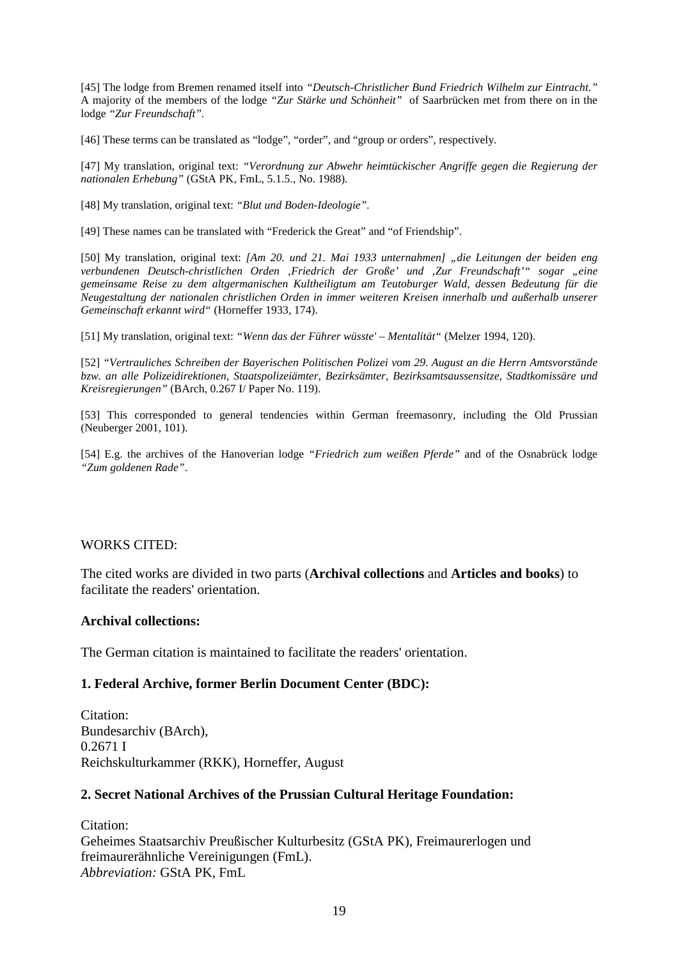[45] The lodge from Bremen renamed itself into *"Deutsch-Christlicher Bund Friedrich Wilhelm zur Eintracht."* A majority of the members of the lodge *"Zur Stärke und Schönheit"* of Saarbrücken met from there on in the lodge *"Zur Freundschaft".* 

[46] These terms can be translated as "lodge", "order", and "group or orders", respectively.

[47] My translation, original text: *"Verordnung zur Abwehr heimtückischer Angriffe gegen die Regierung der nationalen Erhebung"* (GStA PK, FmL, 5.1.5., No. 1988)*.* 

[48] My translation, original text: *"Blut und Boden-Ideologie".* 

[49] These names can be translated with "Frederick the Great" and "of Friendship".

[50] My translation, original text: *[Am 20. und 21. Mai 1933 unternahmen] "die Leitungen der beiden eng verbundenen Deutsch-christlichen Orden 'Friedrich der Große' und 'Zur Freundschaft'" sogar "eine gemeinsame Reise zu dem altgermanischen Kultheiligtum am Teutoburger Wald, dessen Bedeutung für die Neugestaltung der nationalen christlichen Orden in immer weiteren Kreisen innerhalb und außerhalb unserer Gemeinschaft erkannt wird"* (Horneffer 1933, 174).

[51] My translation, original text: *"Wenn das der Führer wüsste' – Mentalität"* (Melzer 1994, 120).

[52] *"Vertrauliches Schreiben der Bayerischen Politischen Polizei vom 29. August an die Herrn Amtsvorstände bzw. an alle Polizeidirektionen, Staatspolizeiämter, Bezirksämter, Bezirksamtsaussensitze, Stadtkomissäre und Kreisregierungen"* (BArch, 0.267 I/ Paper No. 119).

[53] This corresponded to general tendencies within German freemasonry, including the Old Prussian (Neuberger 2001, 101).

[54] E.g. the archives of the Hanoverian lodge *"Friedrich zum weißen Pferde"* and of the Osnabrück lodge *"Zum goldenen Rade"*.

### WORKS CITED:

The cited works are divided in two parts (**Archival collections** and **Articles and books**) to facilitate the readers' orientation.

### **Archival collections:**

The German citation is maintained to facilitate the readers' orientation.

### **1. Federal Archive, former Berlin Document Center (BDC):**

Citation: Bundesarchiv (BArch), 0.2671 I Reichskulturkammer (RKK), Horneffer, August

### **2. Secret National Archives of the Prussian Cultural Heritage Foundation:**

Citation: Geheimes Staatsarchiv Preußischer Kulturbesitz (GStA PK), Freimaurerlogen und freimaurerähnliche Vereinigungen (FmL). *Abbreviation:* GStA PK, FmL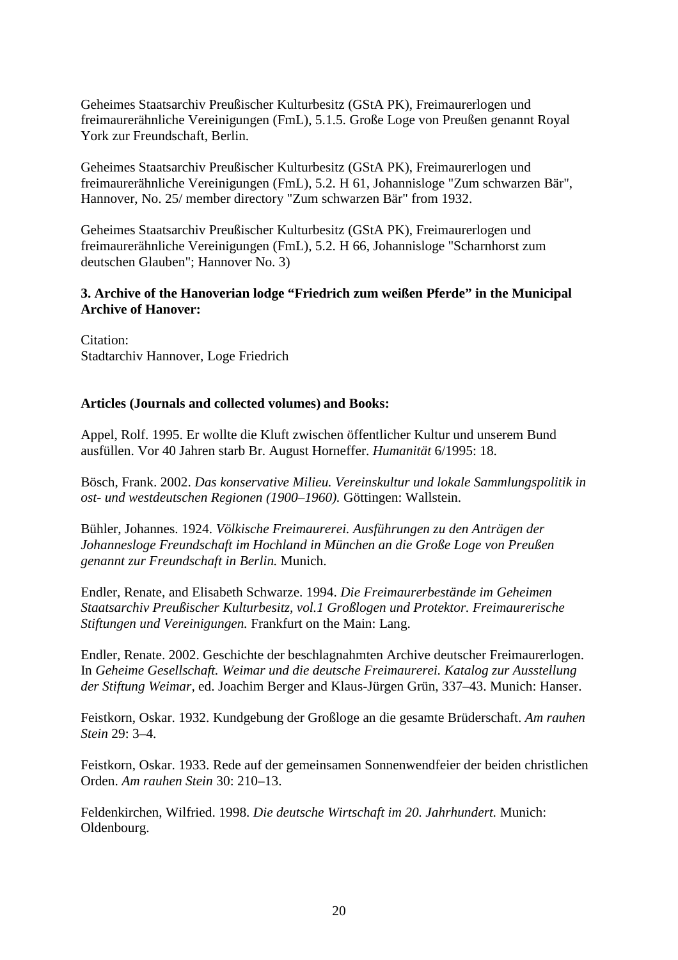Geheimes Staatsarchiv Preußischer Kulturbesitz (GStA PK), Freimaurerlogen und freimaurerähnliche Vereinigungen (FmL), 5.1.5. Große Loge von Preußen genannt Royal York zur Freundschaft, Berlin.

Geheimes Staatsarchiv Preußischer Kulturbesitz (GStA PK), Freimaurerlogen und freimaurerähnliche Vereinigungen (FmL), 5.2. H 61, Johannisloge "Zum schwarzen Bär", Hannover, No. 25/ member directory "Zum schwarzen Bär" from 1932.

Geheimes Staatsarchiv Preußischer Kulturbesitz (GStA PK), Freimaurerlogen und freimaurerähnliche Vereinigungen (FmL), 5.2. H 66, Johannisloge "Scharnhorst zum deutschen Glauben"; Hannover No. 3)

# **3. Archive of the Hanoverian lodge "Friedrich zum weißen Pferde" in the Municipal Archive of Hanover:**

Citation: Stadtarchiv Hannover, Loge Friedrich

## **Articles (Journals and collected volumes) and Books:**

Appel, Rolf. 1995. Er wollte die Kluft zwischen öffentlicher Kultur und unserem Bund ausfüllen. Vor 40 Jahren starb Br. August Horneffer. *Humanität* 6/1995: 18.

Bösch, Frank. 2002. *Das konservative Milieu. Vereinskultur und lokale Sammlungspolitik in ost- und westdeutschen Regionen (1900*–*1960).* Göttingen: Wallstein.

Bühler, Johannes. 1924. *Völkische Freimaurerei. Ausführungen zu den Anträgen der Johannesloge Freundschaft im Hochland in München an die Große Loge von Preußen genannt zur Freundschaft in Berlin.* Munich.

Endler, Renate, and Elisabeth Schwarze. 1994. *Die Freimaurerbestände im Geheimen Staatsarchiv Preußischer Kulturbesitz, vol.1 Großlogen und Protektor. Freimaurerische Stiftungen und Vereinigungen.* Frankfurt on the Main: Lang.

Endler, Renate. 2002. Geschichte der beschlagnahmten Archive deutscher Freimaurerlogen. In *Geheime Gesellschaft. Weimar und die deutsche Freimaurerei. Katalog zur Ausstellung der Stiftung Weimar,* ed. Joachim Berger and Klaus-Jürgen Grün, 337–43. Munich: Hanser.

Feistkorn, Oskar. 1932. Kundgebung der Großloge an die gesamte Brüderschaft. *Am rauhen Stein* 29: 3–4.

Feistkorn, Oskar. 1933. Rede auf der gemeinsamen Sonnenwendfeier der beiden christlichen Orden. *Am rauhen Stein* 30: 210–13.

Feldenkirchen, Wilfried. 1998. *Die deutsche Wirtschaft im 20. Jahrhundert.* Munich: Oldenbourg.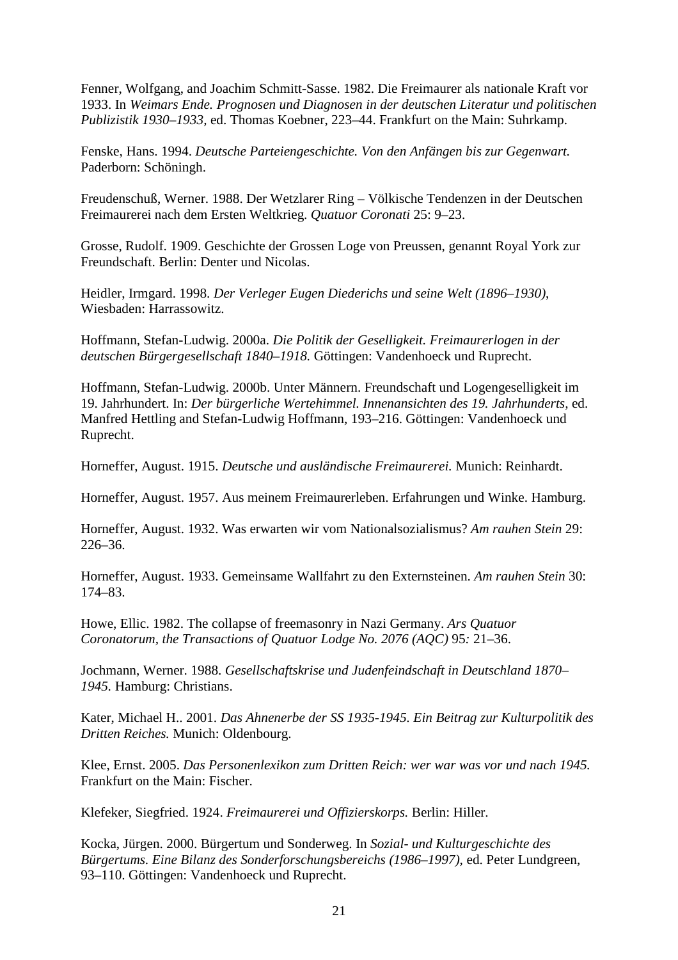Fenner, Wolfgang, and Joachim Schmitt-Sasse. 1982. Die Freimaurer als nationale Kraft vor 1933. In *Weimars Ende. Prognosen und Diagnosen in der deutschen Literatur und politischen Publizistik 1930*–*1933,* ed. Thomas Koebner, 223–44. Frankfurt on the Main: Suhrkamp.

Fenske, Hans. 1994. *Deutsche Parteiengeschichte. Von den Anfängen bis zur Gegenwart.* Paderborn: Schöningh.

Freudenschuß, Werner. 1988. Der Wetzlarer Ring – Völkische Tendenzen in der Deutschen Freimaurerei nach dem Ersten Weltkrieg. *Quatuor Coronati* 25: 9–23.

Grosse, Rudolf. 1909. Geschichte der Grossen Loge von Preussen, genannt Royal York zur Freundschaft. Berlin: Denter und Nicolas.

Heidler, Irmgard. 1998. *Der Verleger Eugen Diederichs und seine Welt (1896*–*1930)*, Wiesbaden: Harrassowitz.

Hoffmann, Stefan-Ludwig. 2000a. *Die Politik der Geselligkeit. Freimaurerlogen in der deutschen Bürgergesellschaft 1840*–*1918.* Göttingen: Vandenhoeck und Ruprecht.

Hoffmann, Stefan-Ludwig. 2000b. Unter Männern. Freundschaft und Logengeselligkeit im 19. Jahrhundert. In: *Der bürgerliche Wertehimmel. Innenansichten des 19. Jahrhunderts,* ed. Manfred Hettling and Stefan-Ludwig Hoffmann, 193–216. Göttingen: Vandenhoeck und Ruprecht.

Horneffer, August. 1915. *Deutsche und ausländische Freimaurerei.* Munich: Reinhardt.

Horneffer, August. 1957. Aus meinem Freimaurerleben. Erfahrungen und Winke. Hamburg.

Horneffer, August. 1932. Was erwarten wir vom Nationalsozialismus? *Am rauhen Stein* 29: 226–36.

Horneffer, August. 1933. Gemeinsame Wallfahrt zu den Externsteinen. *Am rauhen Stein* 30: 174–83.

Howe, Ellic. 1982. The collapse of freemasonry in Nazi Germany. *Ars Quatuor Coronatorum, the Transactions of Quatuor Lodge No. 2076 (AQC)* 95*:* 21–36.

Jochmann, Werner. 1988. *Gesellschaftskrise und Judenfeindschaft in Deutschland 1870*– *1945.* Hamburg: Christians.

Kater, Michael H.. 2001. *Das Ahnenerbe der SS 1935-1945. Ein Beitrag zur Kulturpolitik des Dritten Reiches.* Munich: Oldenbourg.

Klee, Ernst. 2005. *Das Personenlexikon zum Dritten Reich: wer war was vor und nach 1945.* Frankfurt on the Main: Fischer.

Klefeker, Siegfried. 1924. *Freimaurerei und Offizierskorps.* Berlin: Hiller.

Kocka, Jürgen. 2000. Bürgertum und Sonderweg. In *Sozial- und Kulturgeschichte des Bürgertums. Eine Bilanz des Sonderforschungsbereichs (1986*–*1997),* ed. Peter Lundgreen, 93–110. Göttingen: Vandenhoeck und Ruprecht.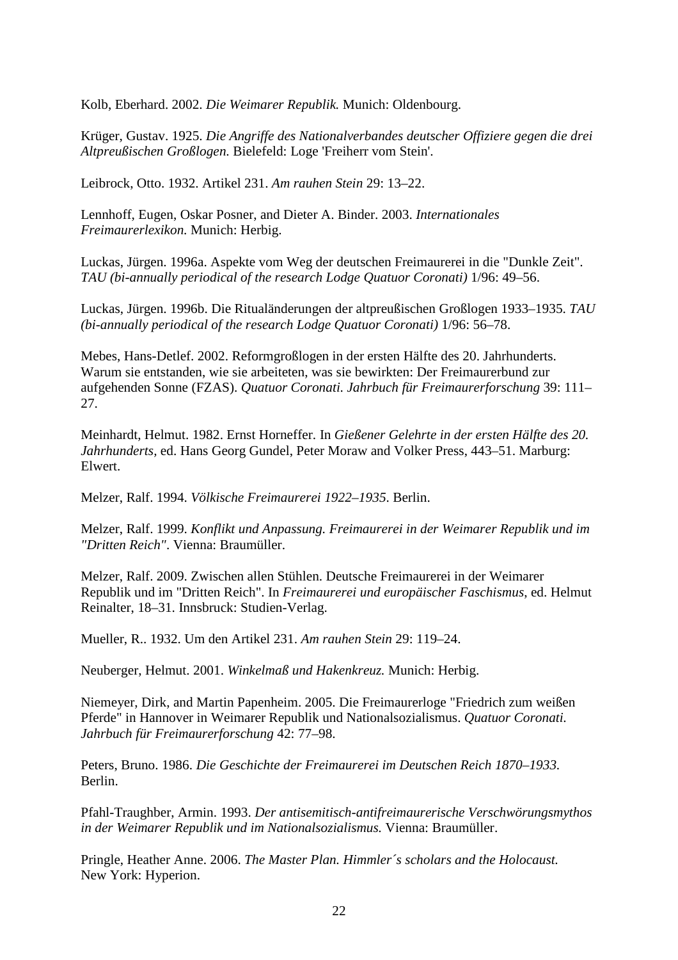Kolb, Eberhard. 2002. *Die Weimarer Republik.* Munich: Oldenbourg.

Krüger, Gustav. 1925. *Die Angriffe des Nationalverbandes deutscher Offiziere gegen die drei Altpreußischen Großlogen.* Bielefeld: Loge 'Freiherr vom Stein'.

Leibrock, Otto. 1932. Artikel 231. *Am rauhen Stein* 29: 13–22.

Lennhoff, Eugen, Oskar Posner, and Dieter A. Binder. 2003. *Internationales Freimaurerlexikon.* Munich: Herbig.

Luckas, Jürgen. 1996a. Aspekte vom Weg der deutschen Freimaurerei in die "Dunkle Zeit". *TAU (bi-annually periodical of the research Lodge Quatuor Coronati)* 1/96: 49–56.

Luckas, Jürgen. 1996b. Die Ritualänderungen der altpreußischen Großlogen 1933–1935. *TAU (bi-annually periodical of the research Lodge Quatuor Coronati)* 1/96: 56–78.

Mebes, Hans-Detlef. 2002. Reformgroßlogen in der ersten Hälfte des 20. Jahrhunderts. Warum sie entstanden, wie sie arbeiteten, was sie bewirkten: Der Freimaurerbund zur aufgehenden Sonne (FZAS). *Quatuor Coronati. Jahrbuch für Freimaurerforschung* 39: 111– 27.

Meinhardt, Helmut. 1982. Ernst Horneffer. In *Gießener Gelehrte in der ersten Hälfte des 20. Jahrhunderts,* ed. Hans Georg Gundel, Peter Moraw and Volker Press, 443–51. Marburg: Elwert.

Melzer, Ralf. 1994. *Völkische Freimaurerei 1922*–*1935*. Berlin.

Melzer, Ralf. 1999. *Konflikt und Anpassung. Freimaurerei in der Weimarer Republik und im "Dritten Reich"*. Vienna: Braumüller.

Melzer, Ralf. 2009. Zwischen allen Stühlen. Deutsche Freimaurerei in der Weimarer Republik und im "Dritten Reich". In *Freimaurerei und europäischer Faschismus*, ed. Helmut Reinalter, 18–31. Innsbruck: Studien-Verlag.

Mueller, R.. 1932. Um den Artikel 231. *Am rauhen Stein* 29: 119–24.

Neuberger, Helmut. 2001. *Winkelmaß und Hakenkreuz.* Munich: Herbig.

Niemeyer, Dirk, and Martin Papenheim. 2005. Die Freimaurerloge "Friedrich zum weißen Pferde" in Hannover in Weimarer Republik und Nationalsozialismus. *Quatuor Coronati. Jahrbuch für Freimaurerforschung* 42: 77–98.

Peters, Bruno. 1986. *Die Geschichte der Freimaurerei im Deutschen Reich 1870*–*1933.* Berlin.

Pfahl-Traughber, Armin. 1993. *Der antisemitisch-antifreimaurerische Verschwörungsmythos in der Weimarer Republik und im Nationalsozialismus.* Vienna: Braumüller.

Pringle, Heather Anne. 2006. *The Master Plan. Himmler´s scholars and the Holocaust.*  New York: Hyperion.